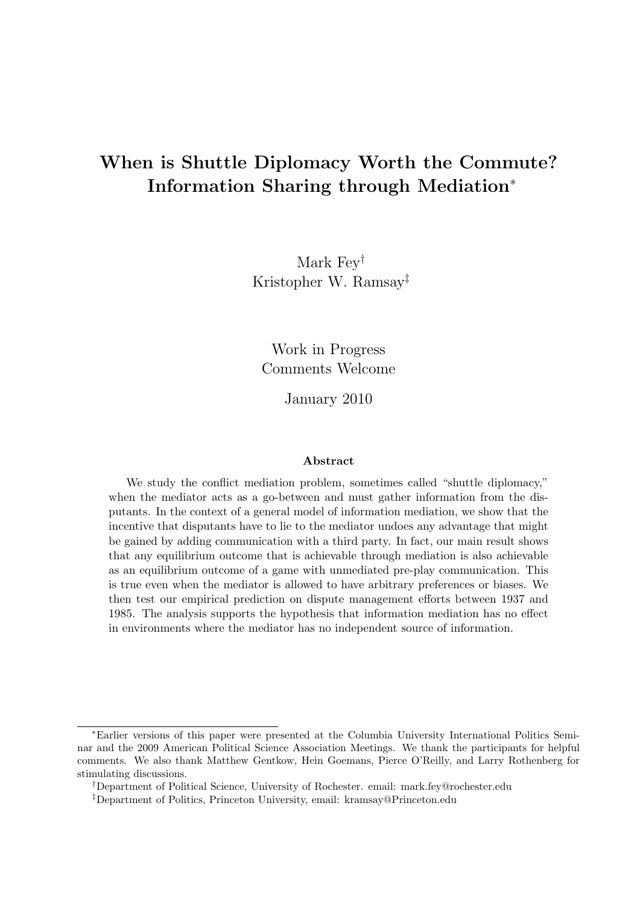# <span id="page-0-0"></span>When is Shuttle Diplomacy Worth the Commute? Information Sharing through Mediation<sup>∗</sup>

Mark Fey† Kristopher W. Ramsay‡

Work in Progress Comments Welcome

January 2010

#### Abstract

We study the conflict mediation problem, sometimes called "shuttle diplomacy," when the mediator acts as a go-between and must gather information from the disputants. In the context of a general model of information mediation, we show that the incentive that disputants have to lie to the mediator undoes any advantage that might be gained by adding communication with a third party. In fact, our main result shows that any equilibrium outcome that is achievable through mediation is also achievable as an equilibrium outcome of a game with unmediated pre-play communication. This is true even when the mediator is allowed to have arbitrary preferences or biases. We then test our empirical prediction on dispute management efforts between 1937 and 1985. The analysis supports the hypothesis that information mediation has no effect in environments where the mediator has no independent source of information.

<sup>∗</sup>Earlier versions of this paper were presented at the Columbia University International Politics Seminar and the 2009 American Political Science Association Meetings. We thank the participants for helpful comments. We also thank Matthew Gentkow, Hein Goemans, Pierce O'Reilly, and Larry Rothenberg for stimulating discussions.

<sup>†</sup>Department of Political Science, University of Rochester. email: mark.fey@rochester.edu

<sup>‡</sup>Department of Politics, Princeton University, email: kramsay@Princeton.edu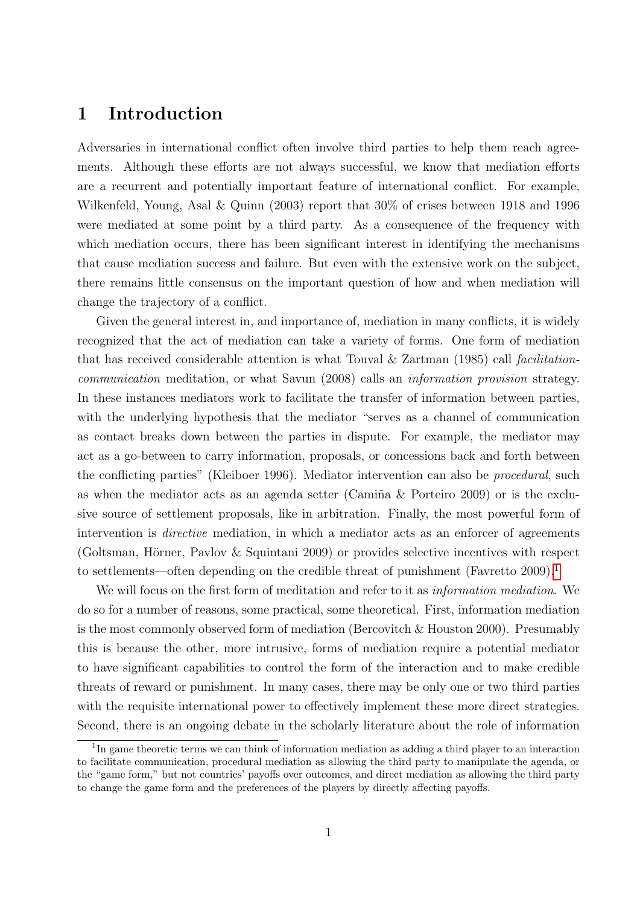### <span id="page-1-0"></span>1 Introduction

Adversaries in international conflict often involve third parties to help them reach agreements. Although these efforts are not always successful, we know that mediation efforts are a recurrent and potentially important feature of international conflict. For example, Wilkenfeld, Young, Asal & Quinn (2003) report that 30% of crises between 1918 and 1996 were mediated at some point by a third party. As a consequence of the frequency with which mediation occurs, there has been significant interest in identifying the mechanisms that cause mediation success and failure. But even with the extensive work on the subject, there remains little consensus on the important question of how and when mediation will change the trajectory of a conflict.

Given the general interest in, and importance of, mediation in many conflicts, it is widely recognized that the act of mediation can take a variety of forms. One form of mediation that has received considerable attention is what Touval  $\&$  Zartman (1985) call facilitationcommunication meditation, or what Savun (2008) calls an information provision strategy. In these instances mediators work to facilitate the transfer of information between parties, with the underlying hypothesis that the mediator "serves as a channel of communication as contact breaks down between the parties in dispute. For example, the mediator may act as a go-between to carry information, proposals, or concessions back and forth between the conflicting parties" (Kleiboer 1996). Mediator intervention can also be procedural, such as when the mediator acts as an agenda setter (Camiña  $\&$  Porteiro 2009) or is the exclusive source of settlement proposals, like in arbitration. Finally, the most powerful form of intervention is *directive* mediation, in which a mediator acts as an enforcer of agreements (Goltsman, Hörner, Pavlov & Squintani 2009) or provides selective incentives with respect to settlements—often depending on the credible threat of punishment (Favretto  $2009$ ).<sup>[1](#page-0-0)</sup>

We will focus on the first form of meditation and refer to it as *information mediation*. We do so for a number of reasons, some practical, some theoretical. First, information mediation is the most commonly observed form of mediation (Bercovitch & Houston 2000). Presumably this is because the other, more intrusive, forms of mediation require a potential mediator to have significant capabilities to control the form of the interaction and to make credible threats of reward or punishment. In many cases, there may be only one or two third parties with the requisite international power to effectively implement these more direct strategies. Second, there is an ongoing debate in the scholarly literature about the role of information

<sup>&</sup>lt;sup>1</sup>In game theoretic terms we can think of information mediation as adding a third player to an interaction to facilitate communication, procedural mediation as allowing the third party to manipulate the agenda, or the "game form," but not countries' payoffs over outcomes, and direct mediation as allowing the third party to change the game form and the preferences of the players by directly affecting payoffs.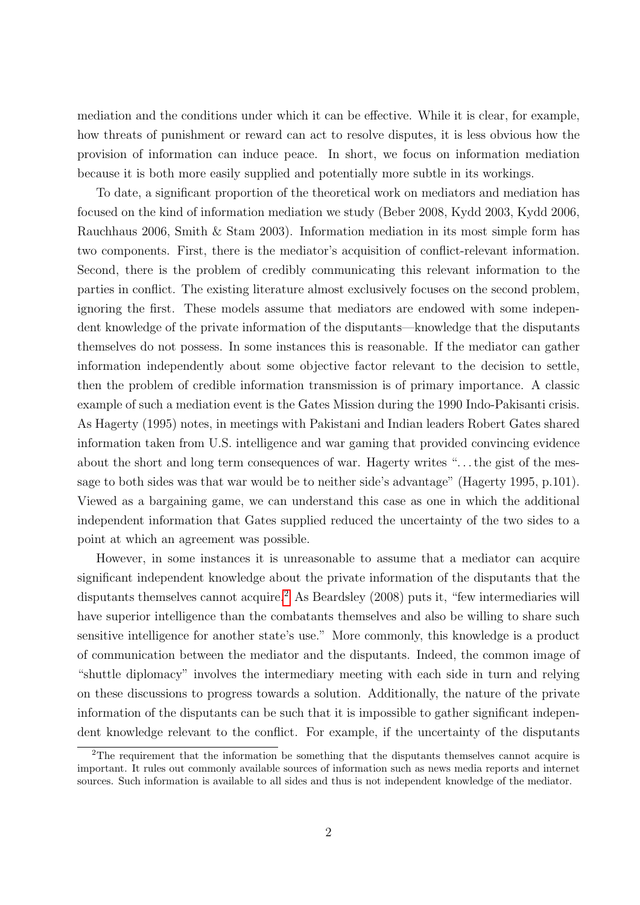mediation and the conditions under which it can be effective. While it is clear, for example, how threats of punishment or reward can act to resolve disputes, it is less obvious how the provision of information can induce peace. In short, we focus on information mediation because it is both more easily supplied and potentially more subtle in its workings.

To date, a significant proportion of the theoretical work on mediators and mediation has focused on the kind of information mediation we study (Beber 2008, Kydd 2003, Kydd 2006, Rauchhaus 2006, Smith & Stam 2003). Information mediation in its most simple form has two components. First, there is the mediator's acquisition of conflict-relevant information. Second, there is the problem of credibly communicating this relevant information to the parties in conflict. The existing literature almost exclusively focuses on the second problem, ignoring the first. These models assume that mediators are endowed with some independent knowledge of the private information of the disputants—knowledge that the disputants themselves do not possess. In some instances this is reasonable. If the mediator can gather information independently about some objective factor relevant to the decision to settle, then the problem of credible information transmission is of primary importance. A classic example of such a mediation event is the Gates Mission during the 1990 Indo-Pakisanti crisis. As Hagerty (1995) notes, in meetings with Pakistani and Indian leaders Robert Gates shared information taken from U.S. intelligence and war gaming that provided convincing evidence about the short and long term consequences of war. Hagerty writes ". . . the gist of the message to both sides was that war would be to neither side's advantage" (Hagerty 1995, p.101). Viewed as a bargaining game, we can understand this case as one in which the additional independent information that Gates supplied reduced the uncertainty of the two sides to a point at which an agreement was possible.

However, in some instances it is unreasonable to assume that a mediator can acquire significant independent knowledge about the private information of the disputants that the disputants themselves cannot acquire.<sup>[2](#page-0-0)</sup> As Beardsley (2008) puts it, "few intermediaries will have superior intelligence than the combatants themselves and also be willing to share such sensitive intelligence for another state's use." More commonly, this knowledge is a product of communication between the mediator and the disputants. Indeed, the common image of "shuttle diplomacy" involves the intermediary meeting with each side in turn and relying on these discussions to progress towards a solution. Additionally, the nature of the private information of the disputants can be such that it is impossible to gather significant independent knowledge relevant to the conflict. For example, if the uncertainty of the disputants

 $2$ The requirement that the information be something that the disputants themselves cannot acquire is important. It rules out commonly available sources of information such as news media reports and internet sources. Such information is available to all sides and thus is not independent knowledge of the mediator.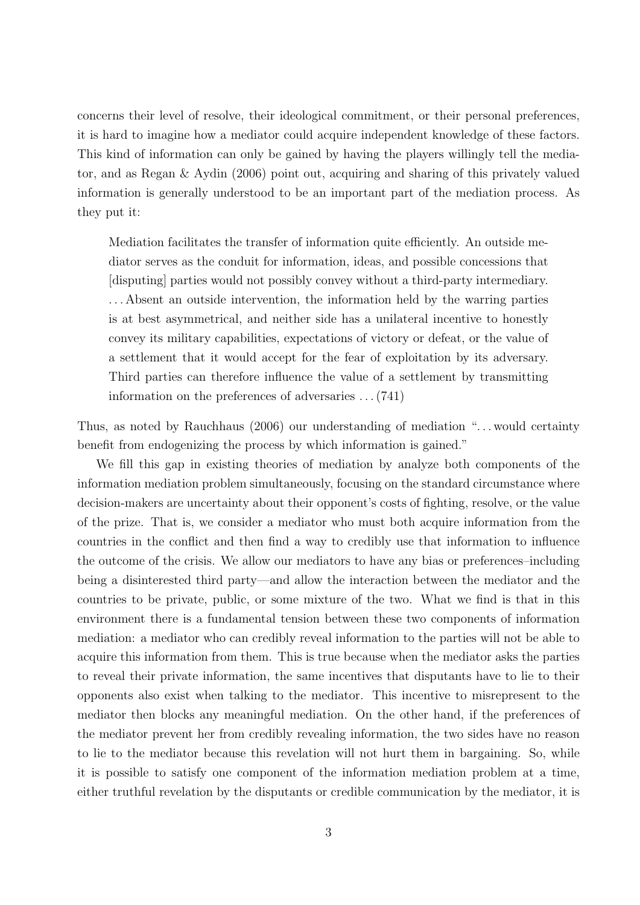concerns their level of resolve, their ideological commitment, or their personal preferences, it is hard to imagine how a mediator could acquire independent knowledge of these factors. This kind of information can only be gained by having the players willingly tell the mediator, and as Regan & Aydin (2006) point out, acquiring and sharing of this privately valued information is generally understood to be an important part of the mediation process. As they put it:

Mediation facilitates the transfer of information quite efficiently. An outside mediator serves as the conduit for information, ideas, and possible concessions that [disputing] parties would not possibly convey without a third-party intermediary. . . . Absent an outside intervention, the information held by the warring parties is at best asymmetrical, and neither side has a unilateral incentive to honestly convey its military capabilities, expectations of victory or defeat, or the value of a settlement that it would accept for the fear of exploitation by its adversary. Third parties can therefore influence the value of a settlement by transmitting information on the preferences of adversaries . . . (741)

Thus, as noted by Rauchhaus (2006) our understanding of mediation "... would certainty benefit from endogenizing the process by which information is gained."

We fill this gap in existing theories of mediation by analyze both components of the information mediation problem simultaneously, focusing on the standard circumstance where decision-makers are uncertainty about their opponent's costs of fighting, resolve, or the value of the prize. That is, we consider a mediator who must both acquire information from the countries in the conflict and then find a way to credibly use that information to influence the outcome of the crisis. We allow our mediators to have any bias or preferences–including being a disinterested third party—and allow the interaction between the mediator and the countries to be private, public, or some mixture of the two. What we find is that in this environment there is a fundamental tension between these two components of information mediation: a mediator who can credibly reveal information to the parties will not be able to acquire this information from them. This is true because when the mediator asks the parties to reveal their private information, the same incentives that disputants have to lie to their opponents also exist when talking to the mediator. This incentive to misrepresent to the mediator then blocks any meaningful mediation. On the other hand, if the preferences of the mediator prevent her from credibly revealing information, the two sides have no reason to lie to the mediator because this revelation will not hurt them in bargaining. So, while it is possible to satisfy one component of the information mediation problem at a time, either truthful revelation by the disputants or credible communication by the mediator, it is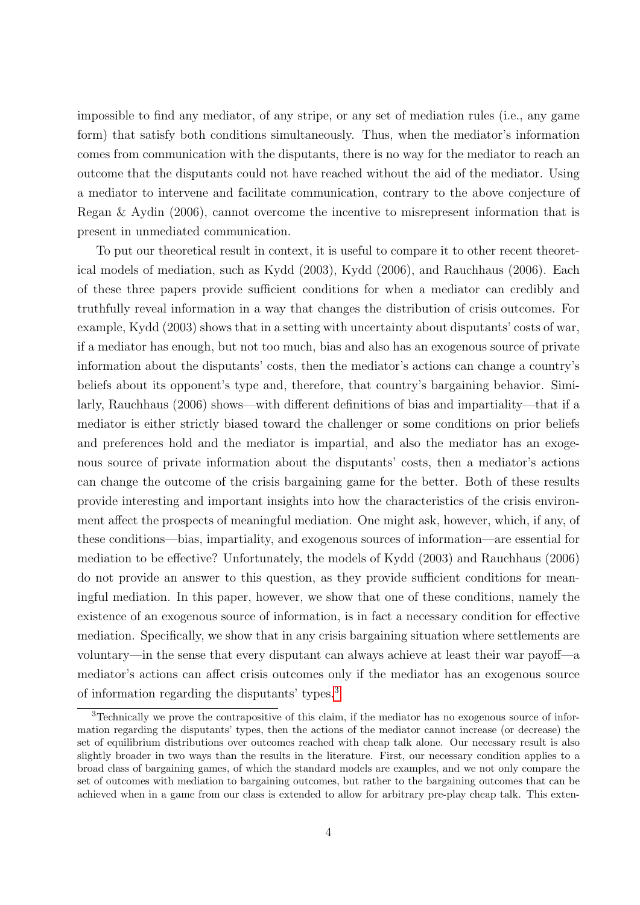impossible to find any mediator, of any stripe, or any set of mediation rules (i.e., any game form) that satisfy both conditions simultaneously. Thus, when the mediator's information comes from communication with the disputants, there is no way for the mediator to reach an outcome that the disputants could not have reached without the aid of the mediator. Using a mediator to intervene and facilitate communication, contrary to the above conjecture of Regan & Aydin (2006), cannot overcome the incentive to misrepresent information that is present in unmediated communication.

To put our theoretical result in context, it is useful to compare it to other recent theoretical models of mediation, such as Kydd (2003), Kydd (2006), and Rauchhaus (2006). Each of these three papers provide sufficient conditions for when a mediator can credibly and truthfully reveal information in a way that changes the distribution of crisis outcomes. For example, Kydd (2003) shows that in a setting with uncertainty about disputants' costs of war, if a mediator has enough, but not too much, bias and also has an exogenous source of private information about the disputants' costs, then the mediator's actions can change a country's beliefs about its opponent's type and, therefore, that country's bargaining behavior. Similarly, Rauchhaus (2006) shows—with different definitions of bias and impartiality—that if a mediator is either strictly biased toward the challenger or some conditions on prior beliefs and preferences hold and the mediator is impartial, and also the mediator has an exogenous source of private information about the disputants' costs, then a mediator's actions can change the outcome of the crisis bargaining game for the better. Both of these results provide interesting and important insights into how the characteristics of the crisis environment affect the prospects of meaningful mediation. One might ask, however, which, if any, of these conditions—bias, impartiality, and exogenous sources of information—are essential for mediation to be effective? Unfortunately, the models of Kydd (2003) and Rauchhaus (2006) do not provide an answer to this question, as they provide sufficient conditions for meaningful mediation. In this paper, however, we show that one of these conditions, namely the existence of an exogenous source of information, is in fact a necessary condition for effective mediation. Specifically, we show that in any crisis bargaining situation where settlements are voluntary—in the sense that every disputant can always achieve at least their war payoff—a mediator's actions can affect crisis outcomes only if the mediator has an exogenous source of information regarding the disputants' types.[3](#page-0-0)

<sup>3</sup>Technically we prove the contrapositive of this claim, if the mediator has no exogenous source of information regarding the disputants' types, then the actions of the mediator cannot increase (or decrease) the set of equilibrium distributions over outcomes reached with cheap talk alone. Our necessary result is also slightly broader in two ways than the results in the literature. First, our necessary condition applies to a broad class of bargaining games, of which the standard models are examples, and we not only compare the set of outcomes with mediation to bargaining outcomes, but rather to the bargaining outcomes that can be achieved when in a game from our class is extended to allow for arbitrary pre-play cheap talk. This exten-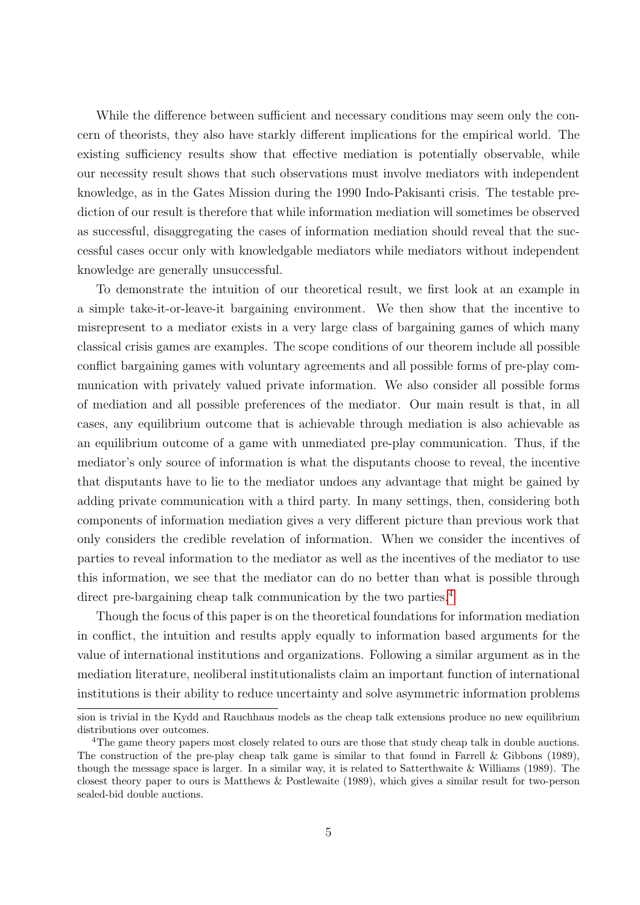While the difference between sufficient and necessary conditions may seem only the concern of theorists, they also have starkly different implications for the empirical world. The existing sufficiency results show that effective mediation is potentially observable, while our necessity result shows that such observations must involve mediators with independent knowledge, as in the Gates Mission during the 1990 Indo-Pakisanti crisis. The testable prediction of our result is therefore that while information mediation will sometimes be observed as successful, disaggregating the cases of information mediation should reveal that the successful cases occur only with knowledgable mediators while mediators without independent knowledge are generally unsuccessful.

To demonstrate the intuition of our theoretical result, we first look at an example in a simple take-it-or-leave-it bargaining environment. We then show that the incentive to misrepresent to a mediator exists in a very large class of bargaining games of which many classical crisis games are examples. The scope conditions of our theorem include all possible conflict bargaining games with voluntary agreements and all possible forms of pre-play communication with privately valued private information. We also consider all possible forms of mediation and all possible preferences of the mediator. Our main result is that, in all cases, any equilibrium outcome that is achievable through mediation is also achievable as an equilibrium outcome of a game with unmediated pre-play communication. Thus, if the mediator's only source of information is what the disputants choose to reveal, the incentive that disputants have to lie to the mediator undoes any advantage that might be gained by adding private communication with a third party. In many settings, then, considering both components of information mediation gives a very different picture than previous work that only considers the credible revelation of information. When we consider the incentives of parties to reveal information to the mediator as well as the incentives of the mediator to use this information, we see that the mediator can do no better than what is possible through direct pre-bargaining cheap talk communication by the two parties.<sup>[4](#page-0-0)</sup>

Though the focus of this paper is on the theoretical foundations for information mediation in conflict, the intuition and results apply equally to information based arguments for the value of international institutions and organizations. Following a similar argument as in the mediation literature, neoliberal institutionalists claim an important function of international institutions is their ability to reduce uncertainty and solve asymmetric information problems

sion is trivial in the Kydd and Rauchhaus models as the cheap talk extensions produce no new equilibrium distributions over outcomes.

<sup>&</sup>lt;sup>4</sup>The game theory papers most closely related to ours are those that study cheap talk in double auctions. The construction of the pre-play cheap talk game is similar to that found in Farrell & Gibbons (1989), though the message space is larger. In a similar way, it is related to Satterthwaite & Williams (1989). The closest theory paper to ours is Matthews & Postlewaite (1989), which gives a similar result for two-person sealed-bid double auctions.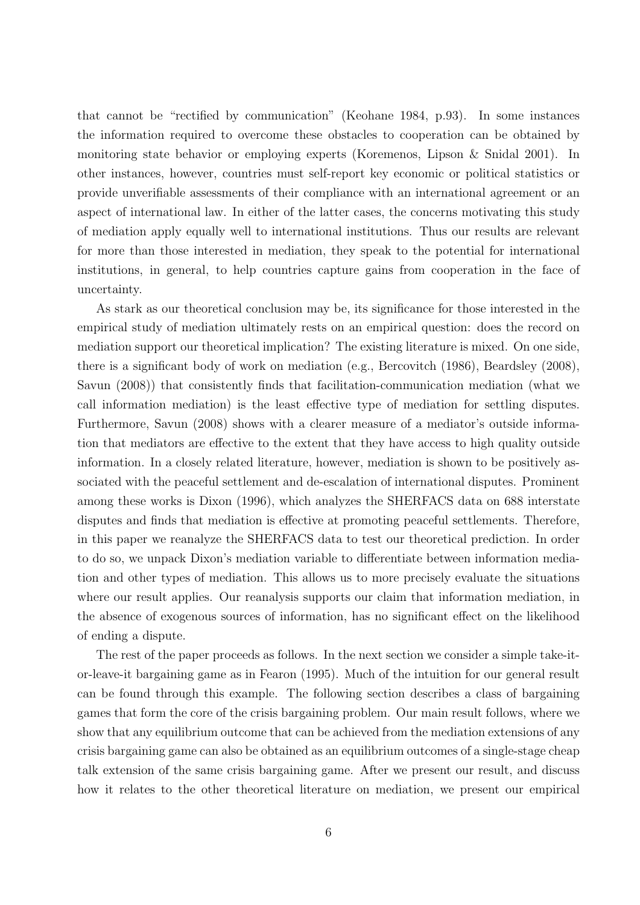that cannot be "rectified by communication" (Keohane 1984, p.93). In some instances the information required to overcome these obstacles to cooperation can be obtained by monitoring state behavior or employing experts (Koremenos, Lipson & Snidal 2001). In other instances, however, countries must self-report key economic or political statistics or provide unverifiable assessments of their compliance with an international agreement or an aspect of international law. In either of the latter cases, the concerns motivating this study of mediation apply equally well to international institutions. Thus our results are relevant for more than those interested in mediation, they speak to the potential for international institutions, in general, to help countries capture gains from cooperation in the face of uncertainty.

As stark as our theoretical conclusion may be, its significance for those interested in the empirical study of mediation ultimately rests on an empirical question: does the record on mediation support our theoretical implication? The existing literature is mixed. On one side, there is a significant body of work on mediation (e.g., Bercovitch (1986), Beardsley (2008), Savun (2008)) that consistently finds that facilitation-communication mediation (what we call information mediation) is the least effective type of mediation for settling disputes. Furthermore, Savun (2008) shows with a clearer measure of a mediator's outside information that mediators are effective to the extent that they have access to high quality outside information. In a closely related literature, however, mediation is shown to be positively associated with the peaceful settlement and de-escalation of international disputes. Prominent among these works is Dixon (1996), which analyzes the SHERFACS data on 688 interstate disputes and finds that mediation is effective at promoting peaceful settlements. Therefore, in this paper we reanalyze the SHERFACS data to test our theoretical prediction. In order to do so, we unpack Dixon's mediation variable to differentiate between information mediation and other types of mediation. This allows us to more precisely evaluate the situations where our result applies. Our reanalysis supports our claim that information mediation, in the absence of exogenous sources of information, has no significant effect on the likelihood of ending a dispute.

The rest of the paper proceeds as follows. In the next section we consider a simple take-itor-leave-it bargaining game as in Fearon (1995). Much of the intuition for our general result can be found through this example. The following section describes a class of bargaining games that form the core of the crisis bargaining problem. Our main result follows, where we show that any equilibrium outcome that can be achieved from the mediation extensions of any crisis bargaining game can also be obtained as an equilibrium outcomes of a single-stage cheap talk extension of the same crisis bargaining game. After we present our result, and discuss how it relates to the other theoretical literature on mediation, we present our empirical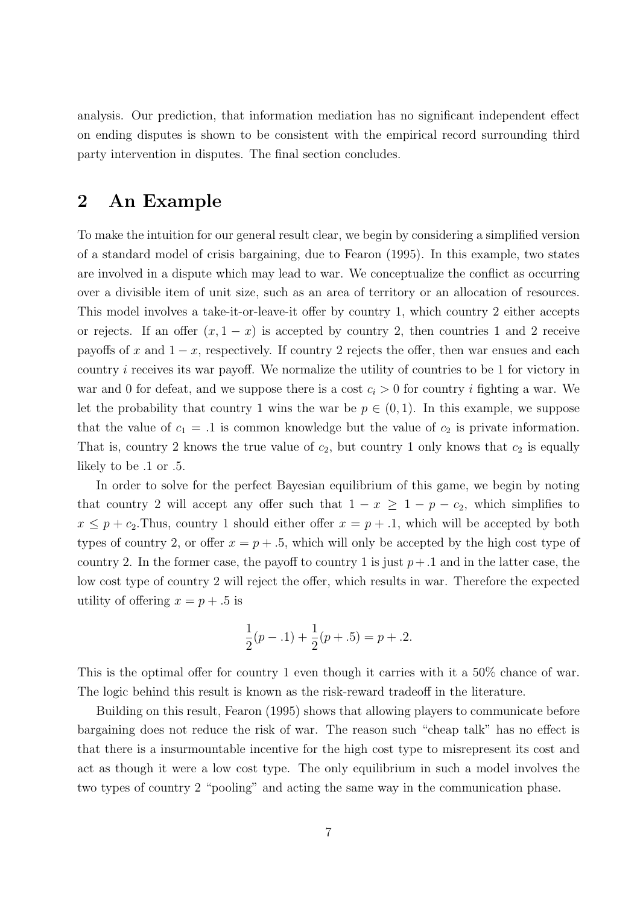analysis. Our prediction, that information mediation has no significant independent effect on ending disputes is shown to be consistent with the empirical record surrounding third party intervention in disputes. The final section concludes.

### 2 An Example

To make the intuition for our general result clear, we begin by considering a simplified version of a standard model of crisis bargaining, due to Fearon (1995). In this example, two states are involved in a dispute which may lead to war. We conceptualize the conflict as occurring over a divisible item of unit size, such as an area of territory or an allocation of resources. This model involves a take-it-or-leave-it offer by country 1, which country 2 either accepts or rejects. If an offer  $(x, 1 - x)$  is accepted by country 2, then countries 1 and 2 receive payoffs of x and  $1 - x$ , respectively. If country 2 rejects the offer, then war ensues and each country i receives its war payoff. We normalize the utility of countries to be 1 for victory in war and 0 for defeat, and we suppose there is a cost  $c_i > 0$  for country i fighting a war. We let the probability that country 1 wins the war be  $p \in (0,1)$ . In this example, we suppose that the value of  $c_1 = .1$  is common knowledge but the value of  $c_2$  is private information. That is, country 2 knows the true value of  $c_2$ , but country 1 only knows that  $c_2$  is equally likely to be .1 or .5.

In order to solve for the perfect Bayesian equilibrium of this game, we begin by noting that country 2 will accept any offer such that  $1 - x \geq 1 - p - c_2$ , which simplifies to  $x \leq p + c_2$ . Thus, country 1 should either offer  $x = p + 0.1$ , which will be accepted by both types of country 2, or offer  $x = p + 0.5$ , which will only be accepted by the high cost type of country 2. In the former case, the payoff to country 1 is just  $p+1$  and in the latter case, the low cost type of country 2 will reject the offer, which results in war. Therefore the expected utility of offering  $x = p + 0.5$  is

$$
\frac{1}{2}(p-.1) + \frac{1}{2}(p+.5) = p+.2.
$$

This is the optimal offer for country 1 even though it carries with it a 50% chance of war. The logic behind this result is known as the risk-reward tradeoff in the literature.

Building on this result, Fearon (1995) shows that allowing players to communicate before bargaining does not reduce the risk of war. The reason such "cheap talk" has no effect is that there is a insurmountable incentive for the high cost type to misrepresent its cost and act as though it were a low cost type. The only equilibrium in such a model involves the two types of country 2 "pooling" and acting the same way in the communication phase.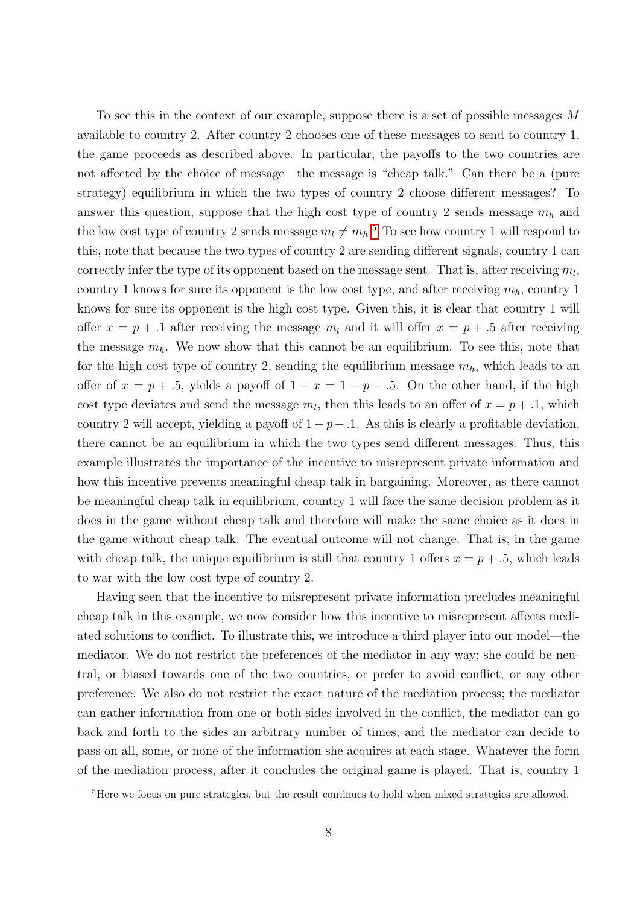To see this in the context of our example, suppose there is a set of possible messages M available to country 2. After country 2 chooses one of these messages to send to country 1, the game proceeds as described above. In particular, the payoffs to the two countries are not affected by the choice of message—the message is "cheap talk." Can there be a (pure strategy) equilibrium in which the two types of country 2 choose different messages? To answer this question, suppose that the high cost type of country 2 sends message  $m_h$  and the low cost type of country 2 sends message  $m_l \neq m_h$ <sup>[5](#page-0-0)</sup> To see how country 1 will respond to this, note that because the two types of country 2 are sending different signals, country 1 can correctly infer the type of its opponent based on the message sent. That is, after receiving  $m_l$ , country 1 knows for sure its opponent is the low cost type, and after receiving  $m_h$ , country 1 knows for sure its opponent is the high cost type. Given this, it is clear that country 1 will offer  $x = p + 0.1$  after receiving the message  $m_l$  and it will offer  $x = p + 0.5$  after receiving the message  $m_h$ . We now show that this cannot be an equilibrium. To see this, note that for the high cost type of country 2, sending the equilibrium message  $m_h$ , which leads to an offer of  $x = p + 0.5$ , yields a payoff of  $1 - x = 1 - p - 0.5$ . On the other hand, if the high cost type deviates and send the message  $m_l$ , then this leads to an offer of  $x = p + 0.1$ , which country 2 will accept, yielding a payoff of  $1 - p - 0.1$ . As this is clearly a profitable deviation, there cannot be an equilibrium in which the two types send different messages. Thus, this example illustrates the importance of the incentive to misrepresent private information and how this incentive prevents meaningful cheap talk in bargaining. Moreover, as there cannot be meaningful cheap talk in equilibrium, country 1 will face the same decision problem as it does in the game without cheap talk and therefore will make the same choice as it does in the game without cheap talk. The eventual outcome will not change. That is, in the game with cheap talk, the unique equilibrium is still that country 1 offers  $x = p + 0.5$ , which leads to war with the low cost type of country 2.

Having seen that the incentive to misrepresent private information precludes meaningful cheap talk in this example, we now consider how this incentive to misrepresent affects mediated solutions to conflict. To illustrate this, we introduce a third player into our model—the mediator. We do not restrict the preferences of the mediator in any way; she could be neutral, or biased towards one of the two countries, or prefer to avoid conflict, or any other preference. We also do not restrict the exact nature of the mediation process; the mediator can gather information from one or both sides involved in the conflict, the mediator can go back and forth to the sides an arbitrary number of times, and the mediator can decide to pass on all, some, or none of the information she acquires at each stage. Whatever the form of the mediation process, after it concludes the original game is played. That is, country 1

<sup>5</sup>Here we focus on pure strategies, but the result continues to hold when mixed strategies are allowed.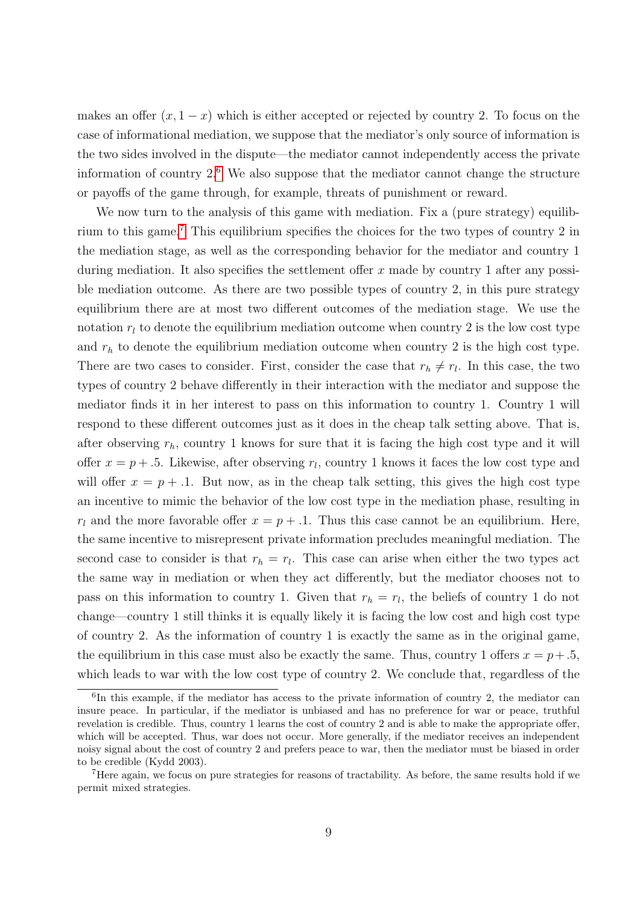makes an offer  $(x, 1-x)$  which is either accepted or rejected by country 2. To focus on the case of informational mediation, we suppose that the mediator's only source of information is the two sides involved in the dispute—the mediator cannot independently access the private information of country  $2^6$  $2^6$ . We also suppose that the mediator cannot change the structure or payoffs of the game through, for example, threats of punishment or reward.

We now turn to the analysis of this game with mediation. Fix a (pure strategy) equilibrium to this game.[7](#page-0-0) This equilibrium specifies the choices for the two types of country 2 in the mediation stage, as well as the corresponding behavior for the mediator and country 1 during mediation. It also specifies the settlement offer x made by country 1 after any possible mediation outcome. As there are two possible types of country 2, in this pure strategy equilibrium there are at most two different outcomes of the mediation stage. We use the notation  $r_l$  to denote the equilibrium mediation outcome when country 2 is the low cost type and  $r<sub>h</sub>$  to denote the equilibrium mediation outcome when country 2 is the high cost type. There are two cases to consider. First, consider the case that  $r_h \neq r_l$ . In this case, the two types of country 2 behave differently in their interaction with the mediator and suppose the mediator finds it in her interest to pass on this information to country 1. Country 1 will respond to these different outcomes just as it does in the cheap talk setting above. That is, after observing  $r_h$ , country 1 knows for sure that it is facing the high cost type and it will offer  $x = p + 0.5$ . Likewise, after observing  $r_l$ , country 1 knows it faces the low cost type and will offer  $x = p + 0.1$ . But now, as in the cheap talk setting, this gives the high cost type an incentive to mimic the behavior of the low cost type in the mediation phase, resulting in  $r_l$  and the more favorable offer  $x = p + 0.1$ . Thus this case cannot be an equilibrium. Here, the same incentive to misrepresent private information precludes meaningful mediation. The second case to consider is that  $r_h = r_l$ . This case can arise when either the two types act the same way in mediation or when they act differently, but the mediator chooses not to pass on this information to country 1. Given that  $r_h = r_l$ , the beliefs of country 1 do not change—country 1 still thinks it is equally likely it is facing the low cost and high cost type of country 2. As the information of country 1 is exactly the same as in the original game, the equilibrium in this case must also be exactly the same. Thus, country 1 offers  $x = p + .5$ , which leads to war with the low cost type of country 2. We conclude that, regardless of the

<sup>6</sup> In this example, if the mediator has access to the private information of country 2, the mediator can insure peace. In particular, if the mediator is unbiased and has no preference for war or peace, truthful revelation is credible. Thus, country 1 learns the cost of country 2 and is able to make the appropriate offer, which will be accepted. Thus, war does not occur. More generally, if the mediator receives an independent noisy signal about the cost of country 2 and prefers peace to war, then the mediator must be biased in order to be credible (Kydd 2003).

<sup>7</sup>Here again, we focus on pure strategies for reasons of tractability. As before, the same results hold if we permit mixed strategies.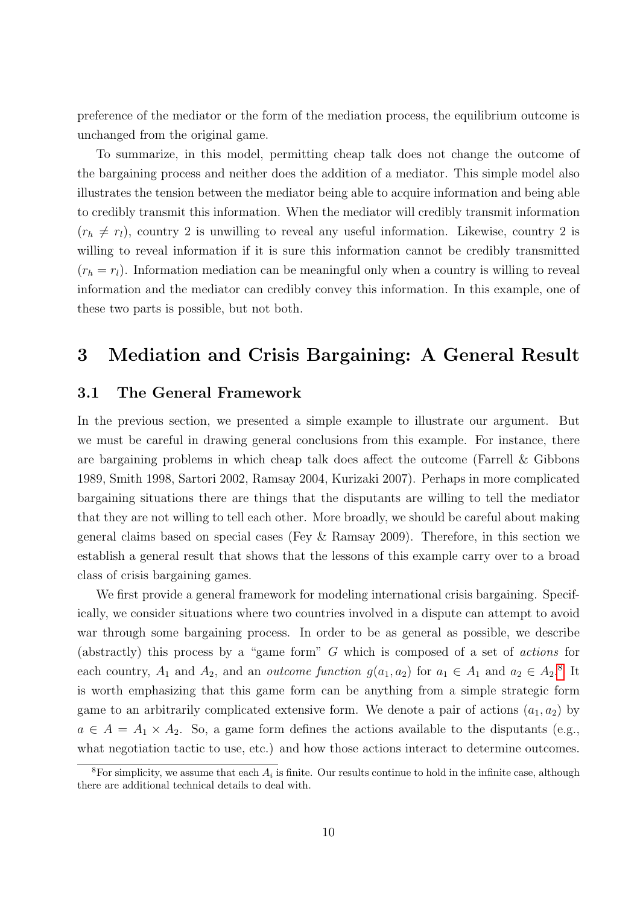preference of the mediator or the form of the mediation process, the equilibrium outcome is unchanged from the original game.

To summarize, in this model, permitting cheap talk does not change the outcome of the bargaining process and neither does the addition of a mediator. This simple model also illustrates the tension between the mediator being able to acquire information and being able to credibly transmit this information. When the mediator will credibly transmit information  $(r_h \neq r_l)$ , country 2 is unwilling to reveal any useful information. Likewise, country 2 is willing to reveal information if it is sure this information cannot be credibly transmitted  $(r_h = r_l)$ . Information mediation can be meaningful only when a country is willing to reveal information and the mediator can credibly convey this information. In this example, one of these two parts is possible, but not both.

### 3 Mediation and Crisis Bargaining: A General Result

#### 3.1 The General Framework

In the previous section, we presented a simple example to illustrate our argument. But we must be careful in drawing general conclusions from this example. For instance, there are bargaining problems in which cheap talk does affect the outcome (Farrell & Gibbons 1989, Smith 1998, Sartori 2002, Ramsay 2004, Kurizaki 2007). Perhaps in more complicated bargaining situations there are things that the disputants are willing to tell the mediator that they are not willing to tell each other. More broadly, we should be careful about making general claims based on special cases (Fey & Ramsay 2009). Therefore, in this section we establish a general result that shows that the lessons of this example carry over to a broad class of crisis bargaining games.

We first provide a general framework for modeling international crisis bargaining. Specifically, we consider situations where two countries involved in a dispute can attempt to avoid war through some bargaining process. In order to be as general as possible, we describe (abstractly) this process by a "game form" G which is composed of a set of actions for each country,  $A_1$  and  $A_2$ , and an *outcome function*  $g(a_1, a_2)$  for  $a_1 \in A_1$  and  $a_2 \in A_2$ .<sup>[8](#page-0-0)</sup> It is worth emphasizing that this game form can be anything from a simple strategic form game to an arbitrarily complicated extensive form. We denote a pair of actions  $(a_1, a_2)$  by  $a \in A = A_1 \times A_2$ . So, a game form defines the actions available to the disputants (e.g., what negotiation tactic to use, etc.) and how those actions interact to determine outcomes.

<sup>&</sup>lt;sup>8</sup>For simplicity, we assume that each  $A_i$  is finite. Our results continue to hold in the infinite case, although there are additional technical details to deal with.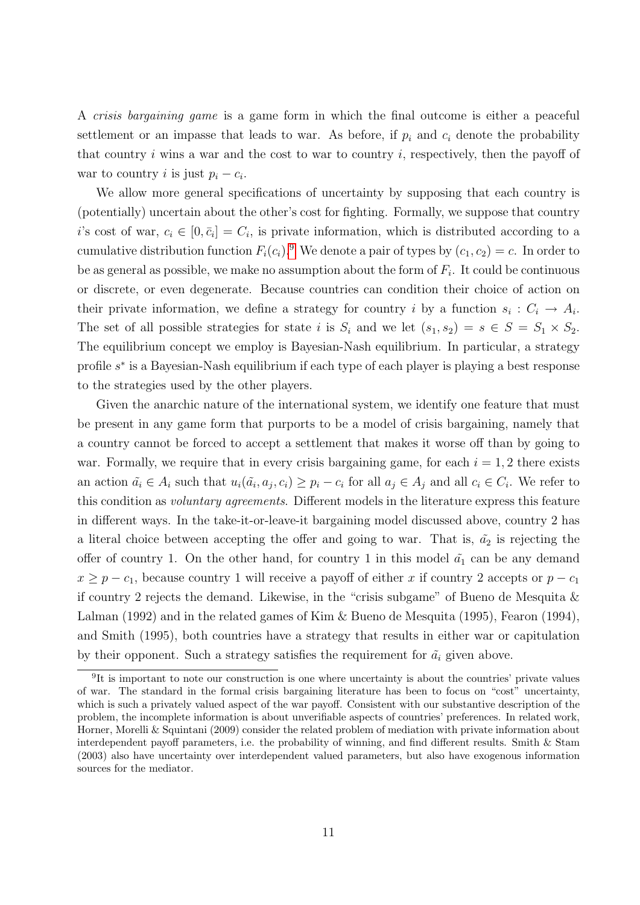A crisis bargaining game is a game form in which the final outcome is either a peaceful settlement or an impasse that leads to war. As before, if  $p_i$  and  $c_i$  denote the probability that country  $i$  wins a war and the cost to war to country  $i$ , respectively, then the payoff of war to country *i* is just  $p_i - c_i$ .

We allow more general specifications of uncertainty by supposing that each country is (potentially) uncertain about the other's cost for fighting. Formally, we suppose that country i's cost of war,  $c_i \in [0, \bar{c}_i] = C_i$ , is private information, which is distributed according to a cumulative distribution function  $F_i(c_i)$ .<sup>[9](#page-0-0)</sup> We denote a pair of types by  $(c_1, c_2) = c$ . In order to be as general as possible, we make no assumption about the form of  $F_i$ . It could be continuous or discrete, or even degenerate. Because countries can condition their choice of action on their private information, we define a strategy for country i by a function  $s_i: C_i \to A_i$ . The set of all possible strategies for state i is  $S_i$  and we let  $(s_1, s_2) = s \in S = S_1 \times S_2$ . The equilibrium concept we employ is Bayesian-Nash equilibrium. In particular, a strategy profile  $s^*$  is a Bayesian-Nash equilibrium if each type of each player is playing a best response to the strategies used by the other players.

Given the anarchic nature of the international system, we identify one feature that must be present in any game form that purports to be a model of crisis bargaining, namely that a country cannot be forced to accept a settlement that makes it worse off than by going to war. Formally, we require that in every crisis bargaining game, for each  $i = 1, 2$  there exists an action  $\tilde{a}_i \in A_i$  such that  $u_i(\tilde{a}_i, a_j, c_i) \geq p_i - c_i$  for all  $a_j \in A_j$  and all  $c_i \in C_i$ . We refer to this condition as voluntary agreements. Different models in the literature express this feature in different ways. In the take-it-or-leave-it bargaining model discussed above, country 2 has a literal choice between accepting the offer and going to war. That is,  $\tilde{a}_2$  is rejecting the offer of country 1. On the other hand, for country 1 in this model  $\tilde{a}_1$  can be any demand  $x \ge p - c_1$ , because country 1 will receive a payoff of either x if country 2 accepts or  $p - c_1$ if country 2 rejects the demand. Likewise, in the "crisis subgame" of Bueno de Mesquita  $\&$ Lalman (1992) and in the related games of Kim & Bueno de Mesquita (1995), Fearon (1994), and Smith (1995), both countries have a strategy that results in either war or capitulation by their opponent. Such a strategy satisfies the requirement for  $\tilde{a}_i$  given above.

<sup>&</sup>lt;sup>9</sup>It is important to note our construction is one where uncertainty is about the countries' private values of war. The standard in the formal crisis bargaining literature has been to focus on "cost" uncertainty, which is such a privately valued aspect of the war payoff. Consistent with our substantive description of the problem, the incomplete information is about unverifiable aspects of countries' preferences. In related work, Horner, Morelli & Squintani (2009) consider the related problem of mediation with private information about interdependent payoff parameters, i.e. the probability of winning, and find different results. Smith & Stam (2003) also have uncertainty over interdependent valued parameters, but also have exogenous information sources for the mediator.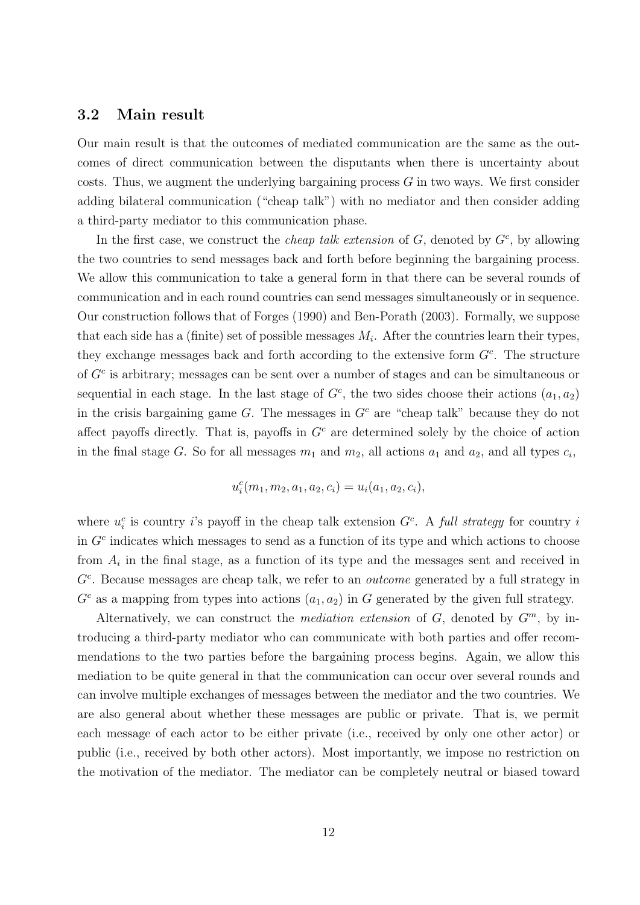#### 3.2 Main result

Our main result is that the outcomes of mediated communication are the same as the outcomes of direct communication between the disputants when there is uncertainty about costs. Thus, we augment the underlying bargaining process  $G$  in two ways. We first consider adding bilateral communication ("cheap talk") with no mediator and then consider adding a third-party mediator to this communication phase.

In the first case, we construct the *cheap talk extension* of  $G$ , denoted by  $G<sup>c</sup>$ , by allowing the two countries to send messages back and forth before beginning the bargaining process. We allow this communication to take a general form in that there can be several rounds of communication and in each round countries can send messages simultaneously or in sequence. Our construction follows that of Forges (1990) and Ben-Porath (2003). Formally, we suppose that each side has a (finite) set of possible messages  $M_i$ . After the countries learn their types, they exchange messages back and forth according to the extensive form  $G<sup>c</sup>$ . The structure of  $G<sup>c</sup>$  is arbitrary; messages can be sent over a number of stages and can be simultaneous or sequential in each stage. In the last stage of  $G<sup>c</sup>$ , the two sides choose their actions  $(a_1, a_2)$ in the crisis bargaining game G. The messages in  $G<sup>c</sup>$  are "cheap talk" because they do not affect payoffs directly. That is, payoffs in  $G<sup>c</sup>$  are determined solely by the choice of action in the final stage G. So for all messages  $m_1$  and  $m_2$ , all actions  $a_1$  and  $a_2$ , and all types  $c_i$ ,

$$
u_i^c(m_1, m_2, a_1, a_2, c_i) = u_i(a_1, a_2, c_i),
$$

where  $u_i^c$  is country i's payoff in the cheap talk extension  $G^c$ . A full strategy for country i in  $G<sup>c</sup>$  indicates which messages to send as a function of its type and which actions to choose from  $A_i$  in the final stage, as a function of its type and the messages sent and received in  $G<sup>c</sup>$ . Because messages are cheap talk, we refer to an *outcome* generated by a full strategy in  $G<sup>c</sup>$  as a mapping from types into actions  $(a_1, a_2)$  in G generated by the given full strategy.

Alternatively, we can construct the *mediation extension* of  $G$ , denoted by  $G^m$ , by introducing a third-party mediator who can communicate with both parties and offer recommendations to the two parties before the bargaining process begins. Again, we allow this mediation to be quite general in that the communication can occur over several rounds and can involve multiple exchanges of messages between the mediator and the two countries. We are also general about whether these messages are public or private. That is, we permit each message of each actor to be either private (i.e., received by only one other actor) or public (i.e., received by both other actors). Most importantly, we impose no restriction on the motivation of the mediator. The mediator can be completely neutral or biased toward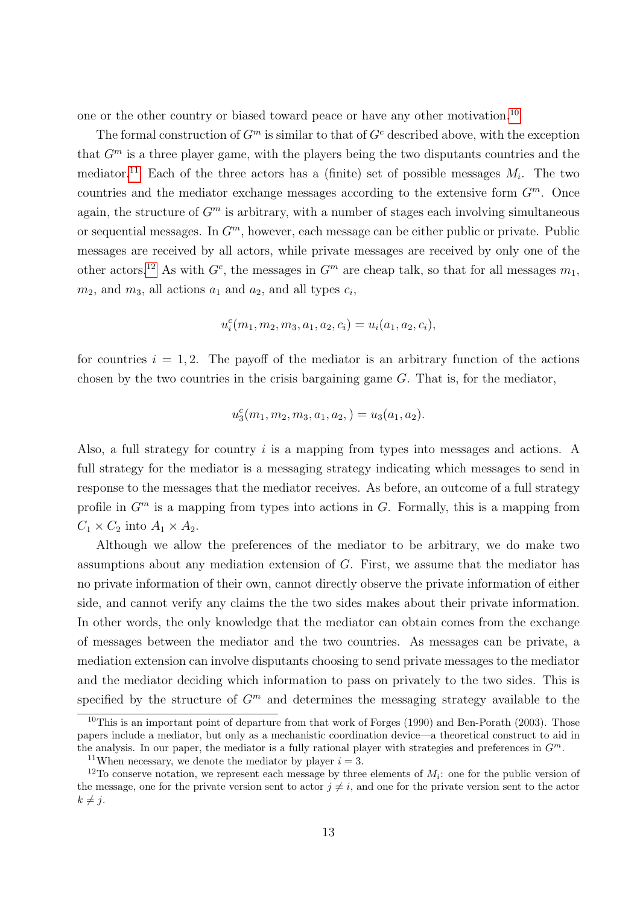one or the other country or biased toward peace or have any other motivation.[10](#page-0-0)

The formal construction of  $G<sup>m</sup>$  is similar to that of  $G<sup>c</sup>$  described above, with the exception that  $G<sup>m</sup>$  is a three player game, with the players being the two disputants countries and the mediator.<sup>[11](#page-0-0)</sup> Each of the three actors has a (finite) set of possible messages  $M_i$ . The two countries and the mediator exchange messages according to the extensive form  $G<sup>m</sup>$ . Once again, the structure of  $G<sup>m</sup>$  is arbitrary, with a number of stages each involving simultaneous or sequential messages. In  $G<sup>m</sup>$ , however, each message can be either public or private. Public messages are received by all actors, while private messages are received by only one of the other actors.<sup>[12](#page-0-0)</sup> As with  $G<sup>c</sup>$ , the messages in  $G<sup>m</sup>$  are cheap talk, so that for all messages  $m_1$ ,  $m_2$ , and  $m_3$ , all actions  $a_1$  and  $a_2$ , and all types  $c_i$ ,

$$
u_i^c(m_1, m_2, m_3, a_1, a_2, c_i) = u_i(a_1, a_2, c_i),
$$

for countries  $i = 1, 2$ . The payoff of the mediator is an arbitrary function of the actions chosen by the two countries in the crisis bargaining game G. That is, for the mediator,

$$
u_3^c(m_1, m_2, m_3, a_1, a_2, ) = u_3(a_1, a_2).
$$

Also, a full strategy for country i is a mapping from types into messages and actions. A full strategy for the mediator is a messaging strategy indicating which messages to send in response to the messages that the mediator receives. As before, an outcome of a full strategy profile in  $G<sup>m</sup>$  is a mapping from types into actions in G. Formally, this is a mapping from  $C_1 \times C_2$  into  $A_1 \times A_2$ .

Although we allow the preferences of the mediator to be arbitrary, we do make two assumptions about any mediation extension of G. First, we assume that the mediator has no private information of their own, cannot directly observe the private information of either side, and cannot verify any claims the the two sides makes about their private information. In other words, the only knowledge that the mediator can obtain comes from the exchange of messages between the mediator and the two countries. As messages can be private, a mediation extension can involve disputants choosing to send private messages to the mediator and the mediator deciding which information to pass on privately to the two sides. This is specified by the structure of  $G<sup>m</sup>$  and determines the messaging strategy available to the

 $10$ This is an important point of departure from that work of Forges (1990) and Ben-Porath (2003). Those papers include a mediator, but only as a mechanistic coordination device—a theoretical construct to aid in the analysis. In our paper, the mediator is a fully rational player with strategies and preferences in  $G<sup>m</sup>$ .

<sup>&</sup>lt;sup>11</sup>When necessary, we denote the mediator by player  $i = 3$ .

<sup>&</sup>lt;sup>12</sup>To conserve notation, we represent each message by three elements of  $M_i$ : one for the public version of the message, one for the private version sent to actor  $j \neq i$ , and one for the private version sent to the actor  $k \neq j$ .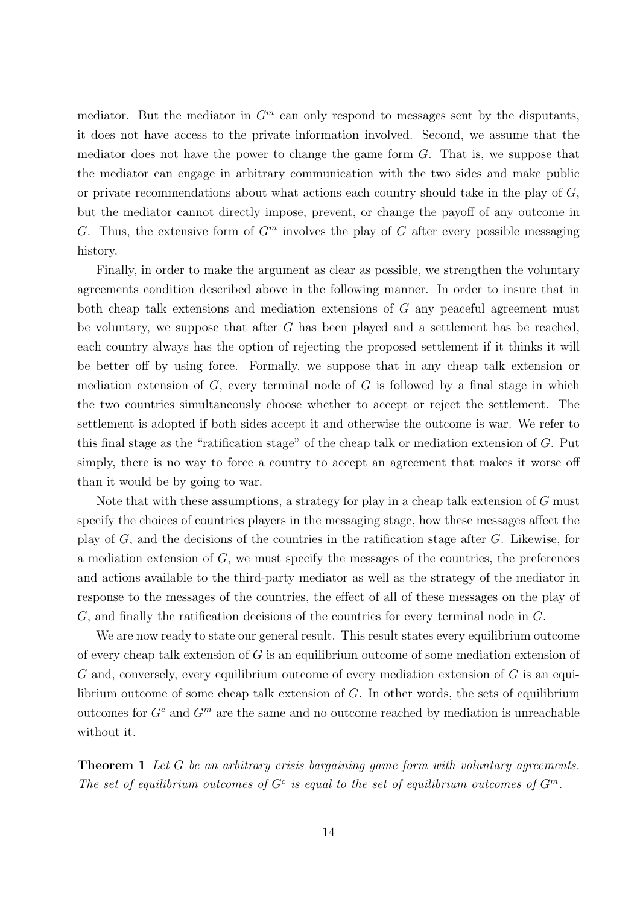mediator. But the mediator in  $G<sup>m</sup>$  can only respond to messages sent by the disputants, it does not have access to the private information involved. Second, we assume that the mediator does not have the power to change the game form  $G$ . That is, we suppose that the mediator can engage in arbitrary communication with the two sides and make public or private recommendations about what actions each country should take in the play of  $G$ , but the mediator cannot directly impose, prevent, or change the payoff of any outcome in G. Thus, the extensive form of  $G<sup>m</sup>$  involves the play of G after every possible messaging history.

Finally, in order to make the argument as clear as possible, we strengthen the voluntary agreements condition described above in the following manner. In order to insure that in both cheap talk extensions and mediation extensions of G any peaceful agreement must be voluntary, we suppose that after G has been played and a settlement has be reached, each country always has the option of rejecting the proposed settlement if it thinks it will be better off by using force. Formally, we suppose that in any cheap talk extension or mediation extension of  $G$ , every terminal node of  $G$  is followed by a final stage in which the two countries simultaneously choose whether to accept or reject the settlement. The settlement is adopted if both sides accept it and otherwise the outcome is war. We refer to this final stage as the "ratification stage" of the cheap talk or mediation extension of G. Put simply, there is no way to force a country to accept an agreement that makes it worse off than it would be by going to war.

Note that with these assumptions, a strategy for play in a cheap talk extension of G must specify the choices of countries players in the messaging stage, how these messages affect the play of  $G$ , and the decisions of the countries in the ratification stage after  $G$ . Likewise, for a mediation extension of  $G$ , we must specify the messages of the countries, the preferences and actions available to the third-party mediator as well as the strategy of the mediator in response to the messages of the countries, the effect of all of these messages on the play of G, and finally the ratification decisions of the countries for every terminal node in G.

We are now ready to state our general result. This result states every equilibrium outcome of every cheap talk extension of  $G$  is an equilibrium outcome of some mediation extension of  $G$  and, conversely, every equilibrium outcome of every mediation extension of  $G$  is an equilibrium outcome of some cheap talk extension of G. In other words, the sets of equilibrium outcomes for  $G<sup>c</sup>$  and  $G<sup>m</sup>$  are the same and no outcome reached by mediation is unreachable without it.

Theorem 1 Let G be an arbitrary crisis bargaining game form with voluntary agreements. The set of equilibrium outcomes of  $G^c$  is equal to the set of equilibrium outcomes of  $G^m$ .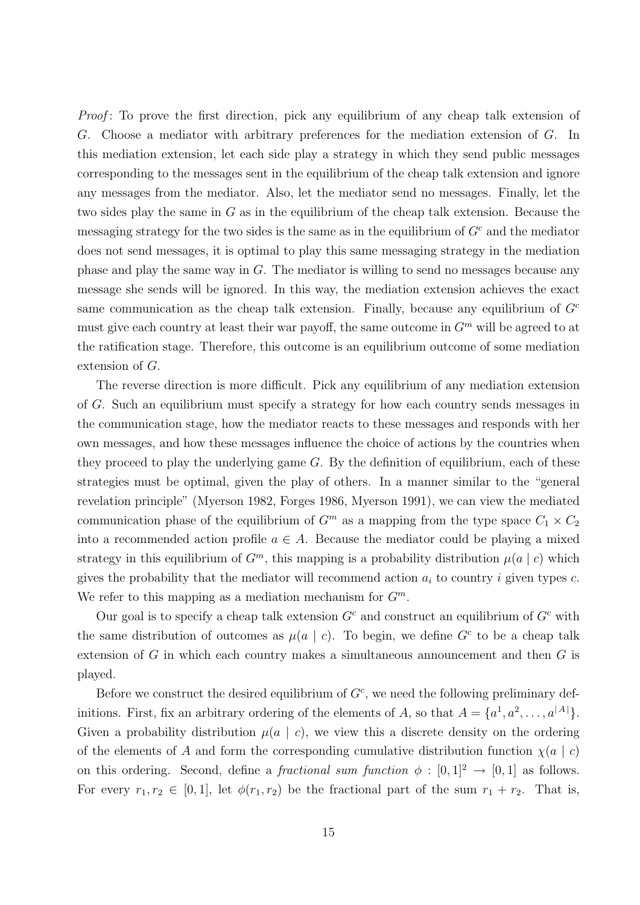Proof: To prove the first direction, pick any equilibrium of any cheap talk extension of G. Choose a mediator with arbitrary preferences for the mediation extension of G. In this mediation extension, let each side play a strategy in which they send public messages corresponding to the messages sent in the equilibrium of the cheap talk extension and ignore any messages from the mediator. Also, let the mediator send no messages. Finally, let the two sides play the same in G as in the equilibrium of the cheap talk extension. Because the messaging strategy for the two sides is the same as in the equilibrium of  $G<sup>c</sup>$  and the mediator does not send messages, it is optimal to play this same messaging strategy in the mediation phase and play the same way in  $G$ . The mediator is willing to send no messages because any message she sends will be ignored. In this way, the mediation extension achieves the exact same communication as the cheap talk extension. Finally, because any equilibrium of  $G<sup>c</sup>$ must give each country at least their war payoff, the same outcome in  $G<sup>m</sup>$  will be agreed to at the ratification stage. Therefore, this outcome is an equilibrium outcome of some mediation extension of G.

The reverse direction is more difficult. Pick any equilibrium of any mediation extension of G. Such an equilibrium must specify a strategy for how each country sends messages in the communication stage, how the mediator reacts to these messages and responds with her own messages, and how these messages influence the choice of actions by the countries when they proceed to play the underlying game  $G$ . By the definition of equilibrium, each of these strategies must be optimal, given the play of others. In a manner similar to the "general revelation principle" (Myerson 1982, Forges 1986, Myerson 1991), we can view the mediated communication phase of the equilibrium of  $G<sup>m</sup>$  as a mapping from the type space  $C_1 \times C_2$ into a recommended action profile  $a \in A$ . Because the mediator could be playing a mixed strategy in this equilibrium of  $G<sup>m</sup>$ , this mapping is a probability distribution  $\mu(a | c)$  which gives the probability that the mediator will recommend action  $a_i$  to country i given types c. We refer to this mapping as a mediation mechanism for  $G^m$ .

Our goal is to specify a cheap talk extension  $G<sup>c</sup>$  and construct an equilibrium of  $G<sup>c</sup>$  with the same distribution of outcomes as  $\mu(a \mid c)$ . To begin, we define  $G^c$  to be a cheap talk extension of  $G$  in which each country makes a simultaneous announcement and then  $G$  is played.

Before we construct the desired equilibrium of  $G<sup>c</sup>$ , we need the following preliminary definitions. First, fix an arbitrary ordering of the elements of A, so that  $A = \{a^1, a^2, \ldots, a^{|A|}\}.$ Given a probability distribution  $\mu(a \mid c)$ , we view this a discrete density on the ordering of the elements of A and form the corresponding cumulative distribution function  $\chi(a \mid c)$ on this ordering. Second, define a *fractional sum function*  $\phi : [0,1]^2 \rightarrow [0,1]$  as follows. For every  $r_1, r_2 \in [0, 1]$ , let  $\phi(r_1, r_2)$  be the fractional part of the sum  $r_1 + r_2$ . That is,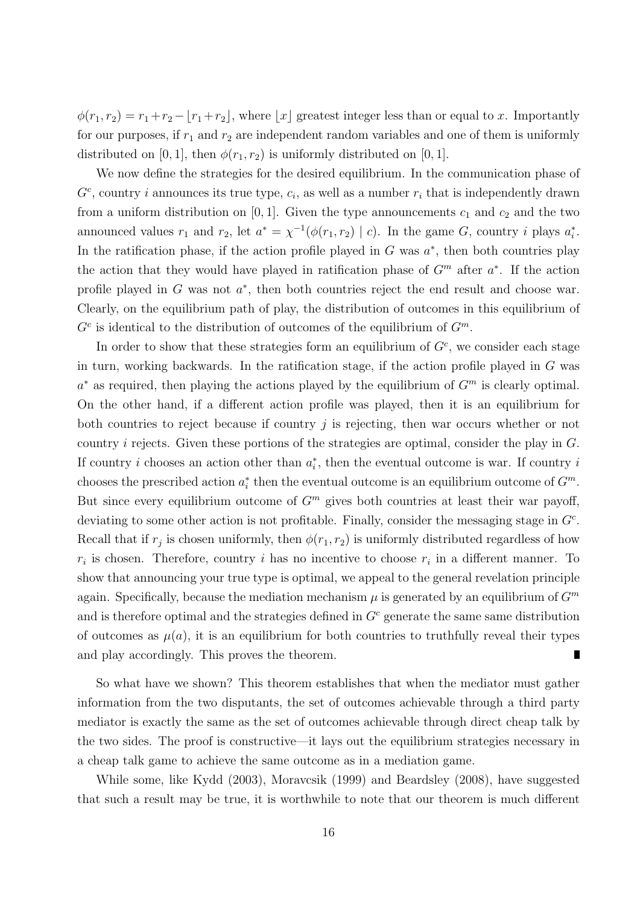$\phi(r_1, r_2) = r_1 + r_2 - |r_1 + r_2|$ , where |x| greatest integer less than or equal to x. Importantly for our purposes, if  $r_1$  and  $r_2$  are independent random variables and one of them is uniformly distributed on [0, 1], then  $\phi(r_1, r_2)$  is uniformly distributed on [0, 1].

We now define the strategies for the desired equilibrium. In the communication phase of  $G<sup>c</sup>$ , country *i* announces its true type,  $c<sub>i</sub>$ , as well as a number  $r<sub>i</sub>$  that is independently drawn from a uniform distribution on [0, 1]. Given the type announcements  $c_1$  and  $c_2$  and the two announced values  $r_1$  and  $r_2$ , let  $a^* = \chi^{-1}(\phi(r_1, r_2) \mid c)$ . In the game G, country *i* plays  $a_i^*$ . In the ratification phase, if the action profile played in  $G$  was  $a^*$ , then both countries play the action that they would have played in ratification phase of  $G<sup>m</sup>$  after  $a<sup>*</sup>$ . If the action profile played in  $G$  was not  $a^*$ , then both countries reject the end result and choose war. Clearly, on the equilibrium path of play, the distribution of outcomes in this equilibrium of  $G<sup>c</sup>$  is identical to the distribution of outcomes of the equilibrium of  $G<sup>m</sup>$ .

In order to show that these strategies form an equilibrium of  $G<sup>c</sup>$ , we consider each stage in turn, working backwards. In the ratification stage, if the action profile played in  $G$  was  $a^*$  as required, then playing the actions played by the equilibrium of  $G^m$  is clearly optimal. On the other hand, if a different action profile was played, then it is an equilibrium for both countries to reject because if country  $j$  is rejecting, then war occurs whether or not country i rejects. Given these portions of the strategies are optimal, consider the play in G. If country *i* chooses an action other than  $a_i^*$ , then the eventual outcome is war. If country *i* chooses the prescribed action  $a_i^*$  then the eventual outcome is an equilibrium outcome of  $G^m$ . But since every equilibrium outcome of  $G<sup>m</sup>$  gives both countries at least their war payoff, deviating to some other action is not profitable. Finally, consider the messaging stage in  $G<sup>c</sup>$ . Recall that if  $r_j$  is chosen uniformly, then  $\phi(r_1, r_2)$  is uniformly distributed regardless of how  $r_i$  is chosen. Therefore, country i has no incentive to choose  $r_i$  in a different manner. To show that announcing your true type is optimal, we appeal to the general revelation principle again. Specifically, because the mediation mechanism  $\mu$  is generated by an equilibrium of  $G^m$ and is therefore optimal and the strategies defined in  $G<sup>c</sup>$  generate the same same distribution of outcomes as  $\mu(a)$ , it is an equilibrium for both countries to truthfully reveal their types and play accordingly. This proves the theorem. Г

So what have we shown? This theorem establishes that when the mediator must gather information from the two disputants, the set of outcomes achievable through a third party mediator is exactly the same as the set of outcomes achievable through direct cheap talk by the two sides. The proof is constructive—it lays out the equilibrium strategies necessary in a cheap talk game to achieve the same outcome as in a mediation game.

While some, like Kydd (2003), Moravcsik (1999) and Beardsley (2008), have suggested that such a result may be true, it is worthwhile to note that our theorem is much different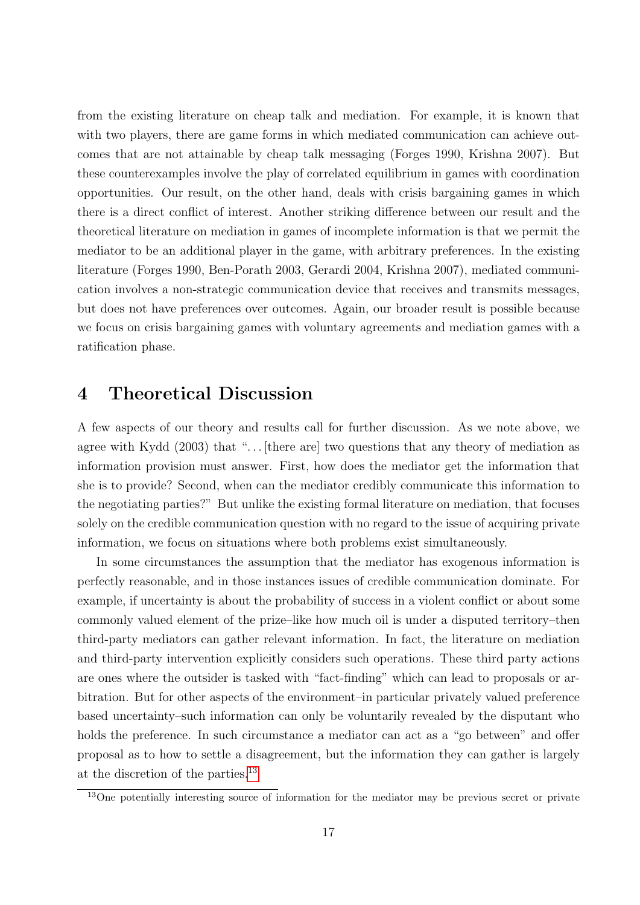from the existing literature on cheap talk and mediation. For example, it is known that with two players, there are game forms in which mediated communication can achieve outcomes that are not attainable by cheap talk messaging (Forges 1990, Krishna 2007). But these counterexamples involve the play of correlated equilibrium in games with coordination opportunities. Our result, on the other hand, deals with crisis bargaining games in which there is a direct conflict of interest. Another striking difference between our result and the theoretical literature on mediation in games of incomplete information is that we permit the mediator to be an additional player in the game, with arbitrary preferences. In the existing literature (Forges 1990, Ben-Porath 2003, Gerardi 2004, Krishna 2007), mediated communication involves a non-strategic communication device that receives and transmits messages, but does not have preferences over outcomes. Again, our broader result is possible because we focus on crisis bargaining games with voluntary agreements and mediation games with a ratification phase.

### 4 Theoretical Discussion

A few aspects of our theory and results call for further discussion. As we note above, we agree with Kydd  $(2003)$  that "... [there are] two questions that any theory of mediation as information provision must answer. First, how does the mediator get the information that she is to provide? Second, when can the mediator credibly communicate this information to the negotiating parties?" But unlike the existing formal literature on mediation, that focuses solely on the credible communication question with no regard to the issue of acquiring private information, we focus on situations where both problems exist simultaneously.

In some circumstances the assumption that the mediator has exogenous information is perfectly reasonable, and in those instances issues of credible communication dominate. For example, if uncertainty is about the probability of success in a violent conflict or about some commonly valued element of the prize–like how much oil is under a disputed territory–then third-party mediators can gather relevant information. In fact, the literature on mediation and third-party intervention explicitly considers such operations. These third party actions are ones where the outsider is tasked with "fact-finding" which can lead to proposals or arbitration. But for other aspects of the environment–in particular privately valued preference based uncertainty–such information can only be voluntarily revealed by the disputant who holds the preference. In such circumstance a mediator can act as a "go between" and offer proposal as to how to settle a disagreement, but the information they can gather is largely at the discretion of the parties.[13](#page-0-0)

 $13$ One potentially interesting source of information for the mediator may be previous secret or private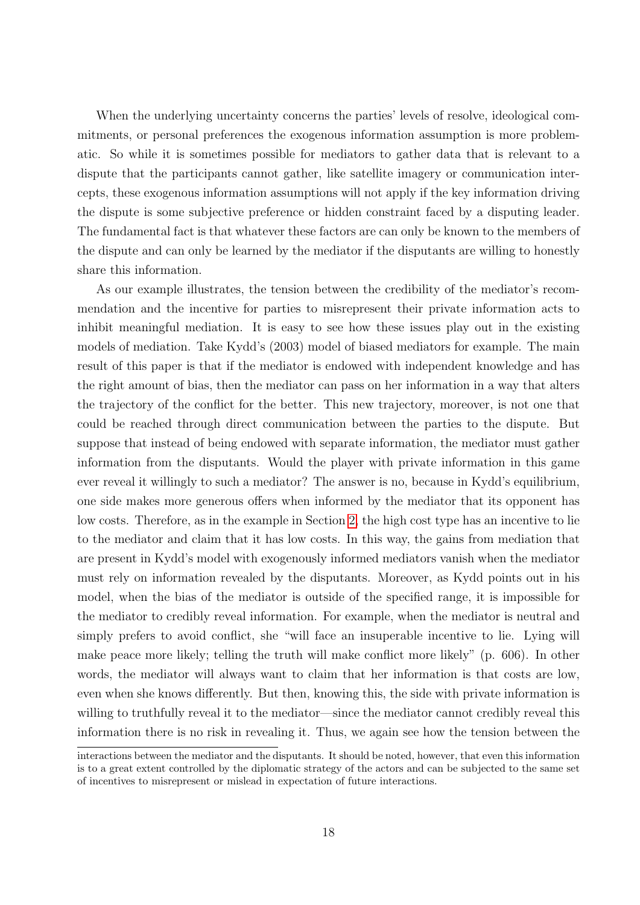When the underlying uncertainty concerns the parties' levels of resolve, ideological commitments, or personal preferences the exogenous information assumption is more problematic. So while it is sometimes possible for mediators to gather data that is relevant to a dispute that the participants cannot gather, like satellite imagery or communication intercepts, these exogenous information assumptions will not apply if the key information driving the dispute is some subjective preference or hidden constraint faced by a disputing leader. The fundamental fact is that whatever these factors are can only be known to the members of the dispute and can only be learned by the mediator if the disputants are willing to honestly share this information.

As our example illustrates, the tension between the credibility of the mediator's recommendation and the incentive for parties to misrepresent their private information acts to inhibit meaningful mediation. It is easy to see how these issues play out in the existing models of mediation. Take Kydd's (2003) model of biased mediators for example. The main result of this paper is that if the mediator is endowed with independent knowledge and has the right amount of bias, then the mediator can pass on her information in a way that alters the trajectory of the conflict for the better. This new trajectory, moreover, is not one that could be reached through direct communication between the parties to the dispute. But suppose that instead of being endowed with separate information, the mediator must gather information from the disputants. Would the player with private information in this game ever reveal it willingly to such a mediator? The answer is no, because in Kydd's equilibrium, one side makes more generous offers when informed by the mediator that its opponent has low costs. Therefore, as in the example in Section [2,](#page-1-0) the high cost type has an incentive to lie to the mediator and claim that it has low costs. In this way, the gains from mediation that are present in Kydd's model with exogenously informed mediators vanish when the mediator must rely on information revealed by the disputants. Moreover, as Kydd points out in his model, when the bias of the mediator is outside of the specified range, it is impossible for the mediator to credibly reveal information. For example, when the mediator is neutral and simply prefers to avoid conflict, she "will face an insuperable incentive to lie. Lying will make peace more likely; telling the truth will make conflict more likely" (p. 606). In other words, the mediator will always want to claim that her information is that costs are low, even when she knows differently. But then, knowing this, the side with private information is willing to truthfully reveal it to the mediator—since the mediator cannot credibly reveal this information there is no risk in revealing it. Thus, we again see how the tension between the

interactions between the mediator and the disputants. It should be noted, however, that even this information is to a great extent controlled by the diplomatic strategy of the actors and can be subjected to the same set of incentives to misrepresent or mislead in expectation of future interactions.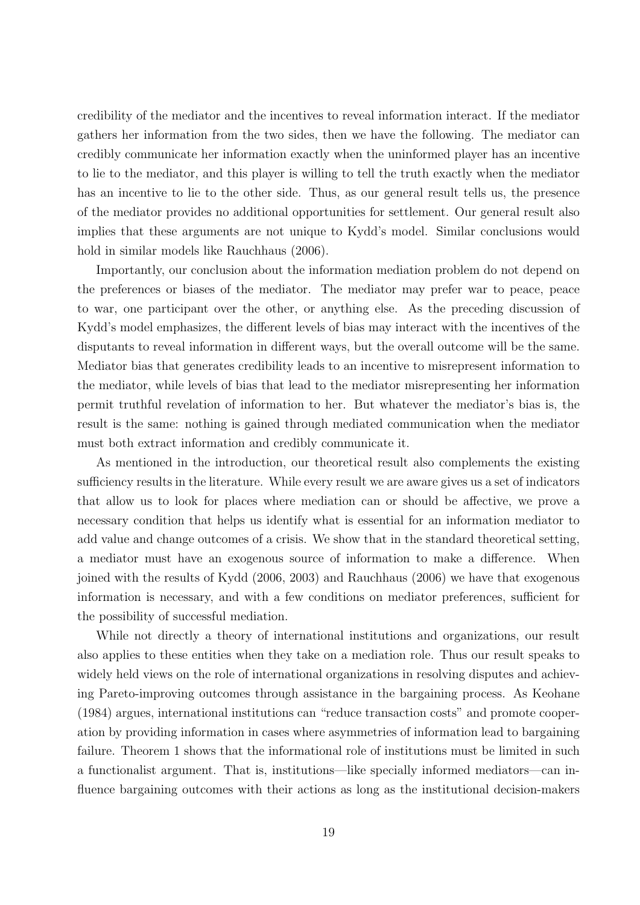credibility of the mediator and the incentives to reveal information interact. If the mediator gathers her information from the two sides, then we have the following. The mediator can credibly communicate her information exactly when the uninformed player has an incentive to lie to the mediator, and this player is willing to tell the truth exactly when the mediator has an incentive to lie to the other side. Thus, as our general result tells us, the presence of the mediator provides no additional opportunities for settlement. Our general result also implies that these arguments are not unique to Kydd's model. Similar conclusions would hold in similar models like Rauchhaus (2006).

Importantly, our conclusion about the information mediation problem do not depend on the preferences or biases of the mediator. The mediator may prefer war to peace, peace to war, one participant over the other, or anything else. As the preceding discussion of Kydd's model emphasizes, the different levels of bias may interact with the incentives of the disputants to reveal information in different ways, but the overall outcome will be the same. Mediator bias that generates credibility leads to an incentive to misrepresent information to the mediator, while levels of bias that lead to the mediator misrepresenting her information permit truthful revelation of information to her. But whatever the mediator's bias is, the result is the same: nothing is gained through mediated communication when the mediator must both extract information and credibly communicate it.

As mentioned in the introduction, our theoretical result also complements the existing sufficiency results in the literature. While every result we are aware gives us a set of indicators that allow us to look for places where mediation can or should be affective, we prove a necessary condition that helps us identify what is essential for an information mediator to add value and change outcomes of a crisis. We show that in the standard theoretical setting, a mediator must have an exogenous source of information to make a difference. When joined with the results of Kydd (2006, 2003) and Rauchhaus (2006) we have that exogenous information is necessary, and with a few conditions on mediator preferences, sufficient for the possibility of successful mediation.

While not directly a theory of international institutions and organizations, our result also applies to these entities when they take on a mediation role. Thus our result speaks to widely held views on the role of international organizations in resolving disputes and achieving Pareto-improving outcomes through assistance in the bargaining process. As Keohane (1984) argues, international institutions can "reduce transaction costs" and promote cooperation by providing information in cases where asymmetries of information lead to bargaining failure. Theorem 1 shows that the informational role of institutions must be limited in such a functionalist argument. That is, institutions—like specially informed mediators—can influence bargaining outcomes with their actions as long as the institutional decision-makers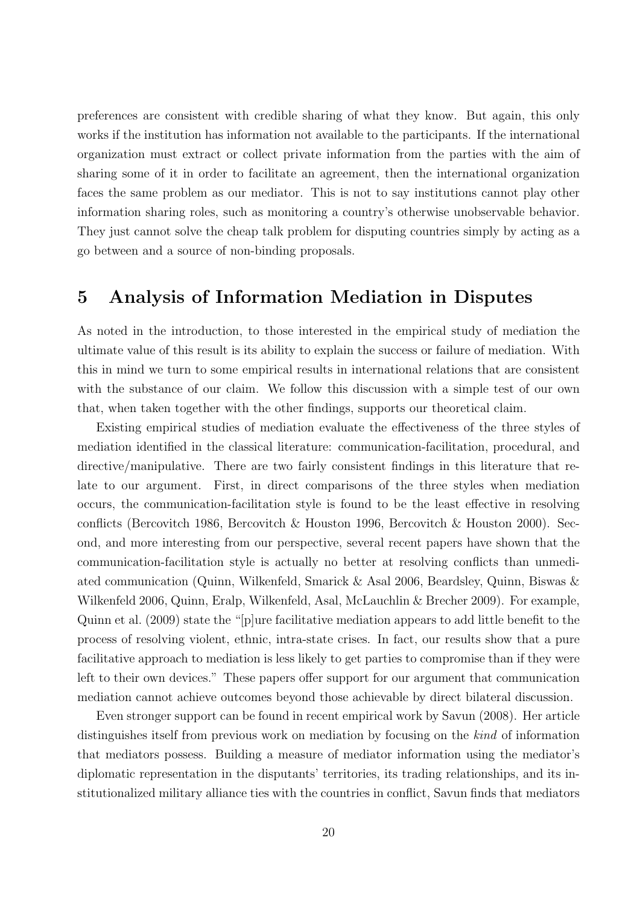preferences are consistent with credible sharing of what they know. But again, this only works if the institution has information not available to the participants. If the international organization must extract or collect private information from the parties with the aim of sharing some of it in order to facilitate an agreement, then the international organization faces the same problem as our mediator. This is not to say institutions cannot play other information sharing roles, such as monitoring a country's otherwise unobservable behavior. They just cannot solve the cheap talk problem for disputing countries simply by acting as a go between and a source of non-binding proposals.

### 5 Analysis of Information Mediation in Disputes

As noted in the introduction, to those interested in the empirical study of mediation the ultimate value of this result is its ability to explain the success or failure of mediation. With this in mind we turn to some empirical results in international relations that are consistent with the substance of our claim. We follow this discussion with a simple test of our own that, when taken together with the other findings, supports our theoretical claim.

Existing empirical studies of mediation evaluate the effectiveness of the three styles of mediation identified in the classical literature: communication-facilitation, procedural, and directive/manipulative. There are two fairly consistent findings in this literature that relate to our argument. First, in direct comparisons of the three styles when mediation occurs, the communication-facilitation style is found to be the least effective in resolving conflicts (Bercovitch 1986, Bercovitch & Houston 1996, Bercovitch & Houston 2000). Second, and more interesting from our perspective, several recent papers have shown that the communication-facilitation style is actually no better at resolving conflicts than unmediated communication (Quinn, Wilkenfeld, Smarick & Asal 2006, Beardsley, Quinn, Biswas & Wilkenfeld 2006, Quinn, Eralp, Wilkenfeld, Asal, McLauchlin & Brecher 2009). For example, Quinn et al. (2009) state the "[p]ure facilitative mediation appears to add little benefit to the process of resolving violent, ethnic, intra-state crises. In fact, our results show that a pure facilitative approach to mediation is less likely to get parties to compromise than if they were left to their own devices." These papers offer support for our argument that communication mediation cannot achieve outcomes beyond those achievable by direct bilateral discussion.

Even stronger support can be found in recent empirical work by Savun (2008). Her article distinguishes itself from previous work on mediation by focusing on the *kind* of information that mediators possess. Building a measure of mediator information using the mediator's diplomatic representation in the disputants' territories, its trading relationships, and its institutionalized military alliance ties with the countries in conflict, Savun finds that mediators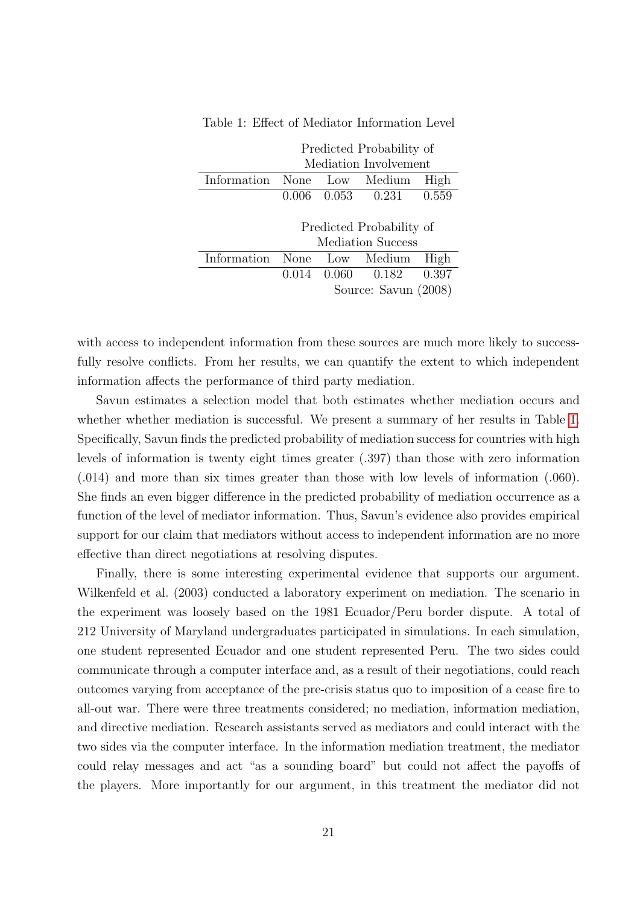|             | Predicted Probability of |  |                                 |      |  |  |
|-------------|--------------------------|--|---------------------------------|------|--|--|
|             | Mediation Involvement    |  |                                 |      |  |  |
| Information |                          |  | None Low Medium                 | High |  |  |
|             |                          |  | $0.006$ $0.053$ $0.231$ $0.559$ |      |  |  |
|             |                          |  |                                 |      |  |  |
|             | Predicted Probability of |  |                                 |      |  |  |
|             | <b>Mediation Success</b> |  |                                 |      |  |  |
| Information | None                     |  | Low Medium                      | High |  |  |
|             |                          |  | $0.014$ $0.060$ $0.182$ $0.397$ |      |  |  |
|             | Source: Savun (2008)     |  |                                 |      |  |  |

<span id="page-21-0"></span>Table 1: Effect of Mediator Information Level

with access to independent information from these sources are much more likely to successfully resolve conflicts. From her results, we can quantify the extent to which independent information affects the performance of third party mediation.

Savun estimates a selection model that both estimates whether mediation occurs and whether whether mediation is successful. We present a summary of her results in Table [1.](#page-21-0) Specifically, Savun finds the predicted probability of mediation success for countries with high levels of information is twenty eight times greater (.397) than those with zero information (.014) and more than six times greater than those with low levels of information (.060). She finds an even bigger difference in the predicted probability of mediation occurrence as a function of the level of mediator information. Thus, Savun's evidence also provides empirical support for our claim that mediators without access to independent information are no more effective than direct negotiations at resolving disputes.

Finally, there is some interesting experimental evidence that supports our argument. Wilkenfeld et al. (2003) conducted a laboratory experiment on mediation. The scenario in the experiment was loosely based on the 1981 Ecuador/Peru border dispute. A total of 212 University of Maryland undergraduates participated in simulations. In each simulation, one student represented Ecuador and one student represented Peru. The two sides could communicate through a computer interface and, as a result of their negotiations, could reach outcomes varying from acceptance of the pre-crisis status quo to imposition of a cease fire to all-out war. There were three treatments considered; no mediation, information mediation, and directive mediation. Research assistants served as mediators and could interact with the two sides via the computer interface. In the information mediation treatment, the mediator could relay messages and act "as a sounding board" but could not affect the payoffs of the players. More importantly for our argument, in this treatment the mediator did not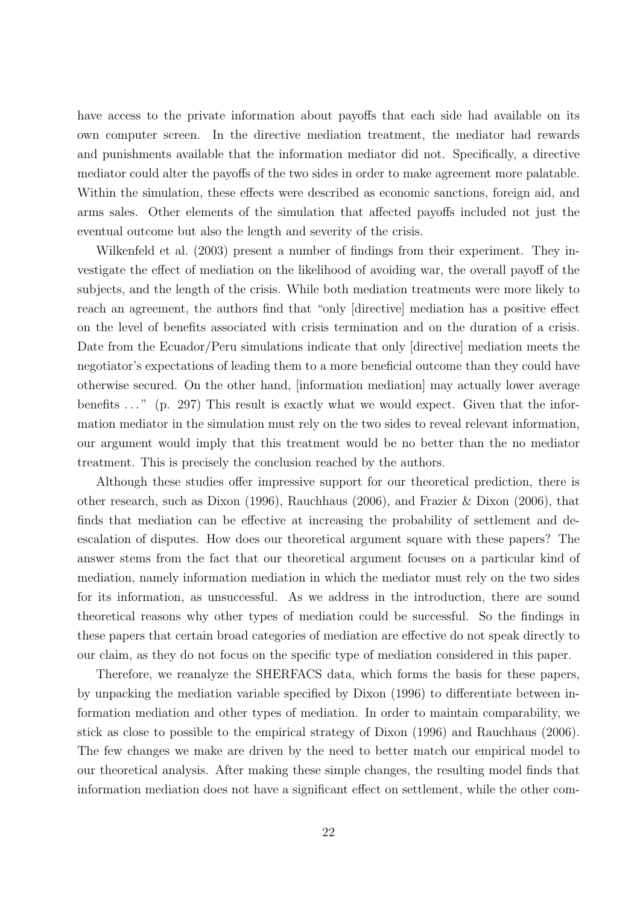have access to the private information about payoffs that each side had available on its own computer screen. In the directive mediation treatment, the mediator had rewards and punishments available that the information mediator did not. Specifically, a directive mediator could alter the payoffs of the two sides in order to make agreement more palatable. Within the simulation, these effects were described as economic sanctions, foreign aid, and arms sales. Other elements of the simulation that affected payoffs included not just the eventual outcome but also the length and severity of the crisis.

Wilkenfeld et al. (2003) present a number of findings from their experiment. They investigate the effect of mediation on the likelihood of avoiding war, the overall payoff of the subjects, and the length of the crisis. While both mediation treatments were more likely to reach an agreement, the authors find that "only [directive] mediation has a positive effect on the level of benefits associated with crisis termination and on the duration of a crisis. Date from the Ecuador/Peru simulations indicate that only [directive] mediation meets the negotiator's expectations of leading them to a more beneficial outcome than they could have otherwise secured. On the other hand, [information mediation] may actually lower average benefits  $\ldots$  " (p. 297) This result is exactly what we would expect. Given that the information mediator in the simulation must rely on the two sides to reveal relevant information, our argument would imply that this treatment would be no better than the no mediator treatment. This is precisely the conclusion reached by the authors.

Although these studies offer impressive support for our theoretical prediction, there is other research, such as Dixon (1996), Rauchhaus (2006), and Frazier & Dixon (2006), that finds that mediation can be effective at increasing the probability of settlement and deescalation of disputes. How does our theoretical argument square with these papers? The answer stems from the fact that our theoretical argument focuses on a particular kind of mediation, namely information mediation in which the mediator must rely on the two sides for its information, as unsuccessful. As we address in the introduction, there are sound theoretical reasons why other types of mediation could be successful. So the findings in these papers that certain broad categories of mediation are effective do not speak directly to our claim, as they do not focus on the specific type of mediation considered in this paper.

Therefore, we reanalyze the SHERFACS data, which forms the basis for these papers, by unpacking the mediation variable specified by Dixon (1996) to differentiate between information mediation and other types of mediation. In order to maintain comparability, we stick as close to possible to the empirical strategy of Dixon (1996) and Rauchhaus (2006). The few changes we make are driven by the need to better match our empirical model to our theoretical analysis. After making these simple changes, the resulting model finds that information mediation does not have a significant effect on settlement, while the other com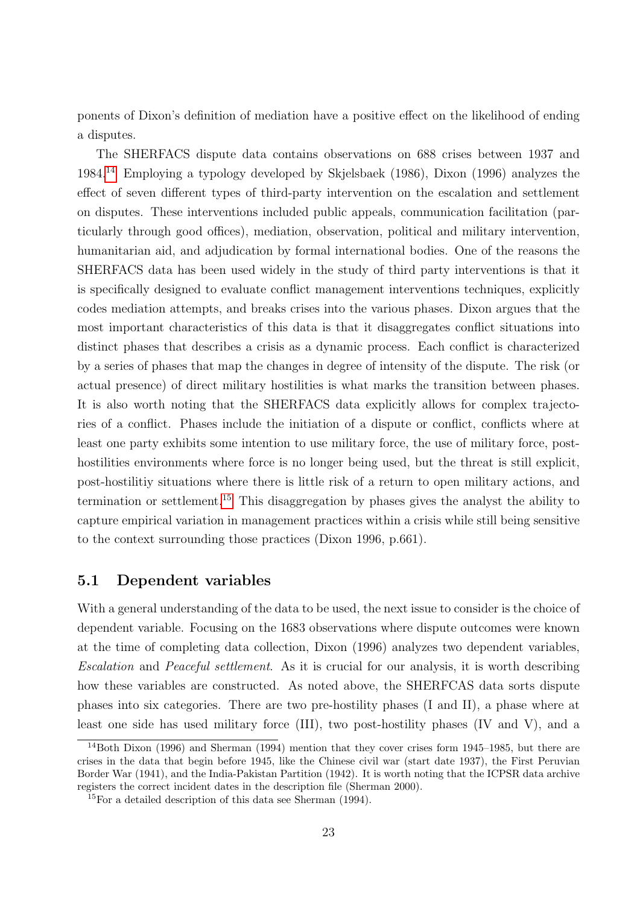ponents of Dixon's definition of mediation have a positive effect on the likelihood of ending a disputes.

The SHERFACS dispute data contains observations on 688 crises between 1937 and 1984.[14](#page-0-0) Employing a typology developed by Skjelsbaek (1986), Dixon (1996) analyzes the effect of seven different types of third-party intervention on the escalation and settlement on disputes. These interventions included public appeals, communication facilitation (particularly through good offices), mediation, observation, political and military intervention, humanitarian aid, and adjudication by formal international bodies. One of the reasons the SHERFACS data has been used widely in the study of third party interventions is that it is specifically designed to evaluate conflict management interventions techniques, explicitly codes mediation attempts, and breaks crises into the various phases. Dixon argues that the most important characteristics of this data is that it disaggregates conflict situations into distinct phases that describes a crisis as a dynamic process. Each conflict is characterized by a series of phases that map the changes in degree of intensity of the dispute. The risk (or actual presence) of direct military hostilities is what marks the transition between phases. It is also worth noting that the SHERFACS data explicitly allows for complex trajectories of a conflict. Phases include the initiation of a dispute or conflict, conflicts where at least one party exhibits some intention to use military force, the use of military force, posthostilities environments where force is no longer being used, but the threat is still explicit, post-hostilitiy situations where there is little risk of a return to open military actions, and termination or settlement.<sup>[15](#page-0-0)</sup> This disaggregation by phases gives the analyst the ability to capture empirical variation in management practices within a crisis while still being sensitive to the context surrounding those practices (Dixon 1996, p.661).

#### 5.1 Dependent variables

With a general understanding of the data to be used, the next issue to consider is the choice of dependent variable. Focusing on the 1683 observations where dispute outcomes were known at the time of completing data collection, Dixon (1996) analyzes two dependent variables, Escalation and Peaceful settlement. As it is crucial for our analysis, it is worth describing how these variables are constructed. As noted above, the SHERFCAS data sorts dispute phases into six categories. There are two pre-hostility phases (I and II), a phase where at least one side has used military force (III), two post-hostility phases (IV and V), and a

<sup>14</sup>Both Dixon (1996) and Sherman (1994) mention that they cover crises form 1945–1985, but there are crises in the data that begin before 1945, like the Chinese civil war (start date 1937), the First Peruvian Border War (1941), and the India-Pakistan Partition (1942). It is worth noting that the ICPSR data archive registers the correct incident dates in the description file (Sherman 2000).

<sup>15</sup>For a detailed description of this data see Sherman (1994).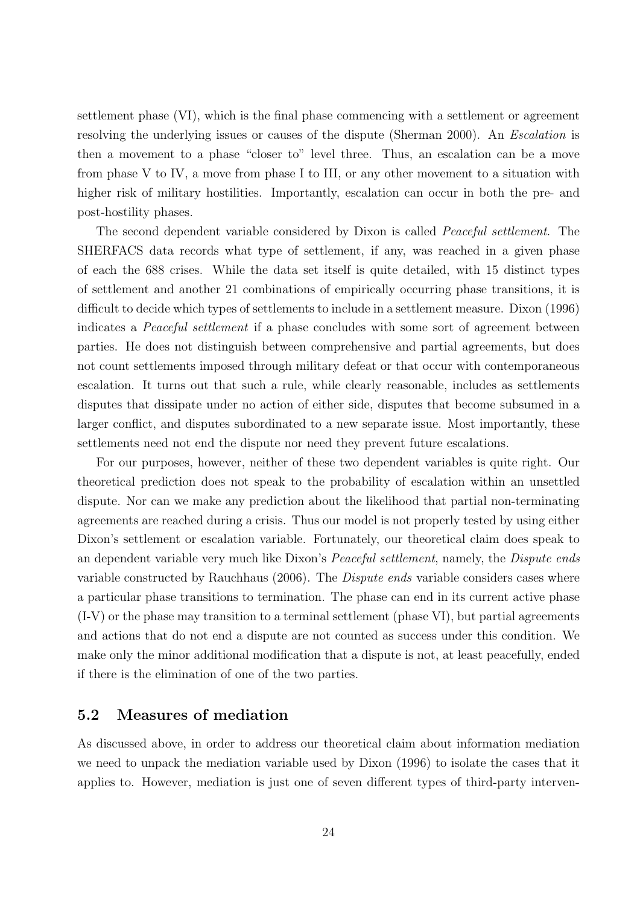settlement phase (VI), which is the final phase commencing with a settlement or agreement resolving the underlying issues or causes of the dispute (Sherman 2000). An *Escalation* is then a movement to a phase "closer to" level three. Thus, an escalation can be a move from phase V to IV, a move from phase I to III, or any other movement to a situation with higher risk of military hostilities. Importantly, escalation can occur in both the pre- and post-hostility phases.

The second dependent variable considered by Dixon is called Peaceful settlement. The SHERFACS data records what type of settlement, if any, was reached in a given phase of each the 688 crises. While the data set itself is quite detailed, with 15 distinct types of settlement and another 21 combinations of empirically occurring phase transitions, it is difficult to decide which types of settlements to include in a settlement measure. Dixon (1996) indicates a *Peaceful settlement* if a phase concludes with some sort of agreement between parties. He does not distinguish between comprehensive and partial agreements, but does not count settlements imposed through military defeat or that occur with contemporaneous escalation. It turns out that such a rule, while clearly reasonable, includes as settlements disputes that dissipate under no action of either side, disputes that become subsumed in a larger conflict, and disputes subordinated to a new separate issue. Most importantly, these settlements need not end the dispute nor need they prevent future escalations.

For our purposes, however, neither of these two dependent variables is quite right. Our theoretical prediction does not speak to the probability of escalation within an unsettled dispute. Nor can we make any prediction about the likelihood that partial non-terminating agreements are reached during a crisis. Thus our model is not properly tested by using either Dixon's settlement or escalation variable. Fortunately, our theoretical claim does speak to an dependent variable very much like Dixon's *Peaceful settlement*, namely, the *Dispute ends* variable constructed by Rauchhaus (2006). The Dispute ends variable considers cases where a particular phase transitions to termination. The phase can end in its current active phase (I-V) or the phase may transition to a terminal settlement (phase VI), but partial agreements and actions that do not end a dispute are not counted as success under this condition. We make only the minor additional modification that a dispute is not, at least peacefully, ended if there is the elimination of one of the two parties.

#### 5.2 Measures of mediation

As discussed above, in order to address our theoretical claim about information mediation we need to unpack the mediation variable used by Dixon (1996) to isolate the cases that it applies to. However, mediation is just one of seven different types of third-party interven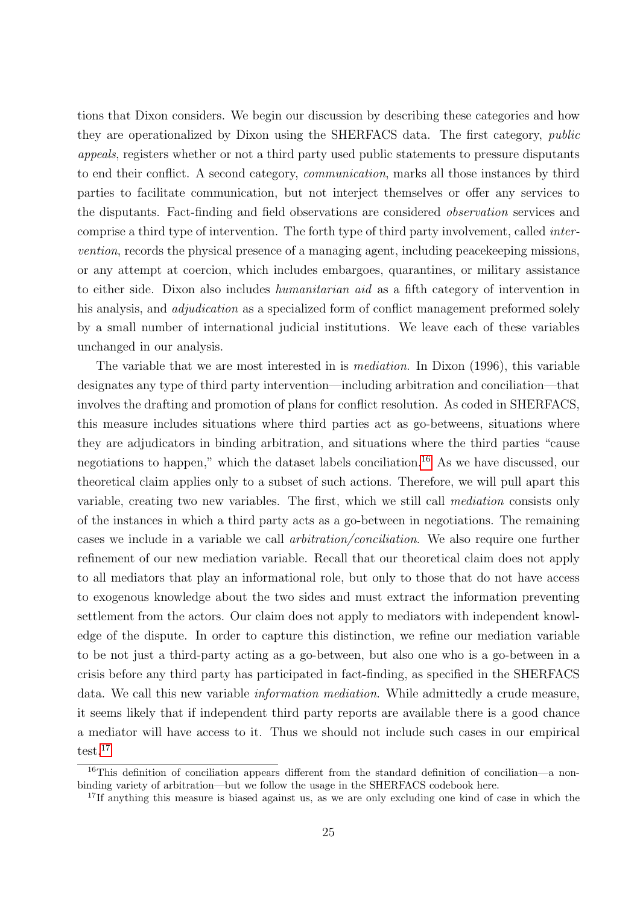tions that Dixon considers. We begin our discussion by describing these categories and how they are operationalized by Dixon using the SHERFACS data. The first category, public appeals, registers whether or not a third party used public statements to pressure disputants to end their conflict. A second category, communication, marks all those instances by third parties to facilitate communication, but not interject themselves or offer any services to the disputants. Fact-finding and field observations are considered observation services and comprise a third type of intervention. The forth type of third party involvement, called intervention, records the physical presence of a managing agent, including peacekeeping missions, or any attempt at coercion, which includes embargoes, quarantines, or military assistance to either side. Dixon also includes humanitarian aid as a fifth category of intervention in his analysis, and *adjudication* as a specialized form of conflict management preformed solely by a small number of international judicial institutions. We leave each of these variables unchanged in our analysis.

The variable that we are most interested in is mediation. In Dixon (1996), this variable designates any type of third party intervention—including arbitration and conciliation—that involves the drafting and promotion of plans for conflict resolution. As coded in SHERFACS, this measure includes situations where third parties act as go-betweens, situations where they are adjudicators in binding arbitration, and situations where the third parties "cause negotiations to happen," which the dataset labels conciliation.<sup>[16](#page-0-0)</sup> As we have discussed, our theoretical claim applies only to a subset of such actions. Therefore, we will pull apart this variable, creating two new variables. The first, which we still call mediation consists only of the instances in which a third party acts as a go-between in negotiations. The remaining cases we include in a variable we call arbitration/conciliation. We also require one further refinement of our new mediation variable. Recall that our theoretical claim does not apply to all mediators that play an informational role, but only to those that do not have access to exogenous knowledge about the two sides and must extract the information preventing settlement from the actors. Our claim does not apply to mediators with independent knowledge of the dispute. In order to capture this distinction, we refine our mediation variable to be not just a third-party acting as a go-between, but also one who is a go-between in a crisis before any third party has participated in fact-finding, as specified in the SHERFACS data. We call this new variable information mediation. While admittedly a crude measure, it seems likely that if independent third party reports are available there is a good chance a mediator will have access to it. Thus we should not include such cases in our empirical test.<sup>[17](#page-0-0)</sup>

<sup>16</sup>This definition of conciliation appears different from the standard definition of conciliation—a nonbinding variety of arbitration—but we follow the usage in the SHERFACS codebook here.

<sup>&</sup>lt;sup>17</sup>If anything this measure is biased against us, as we are only excluding one kind of case in which the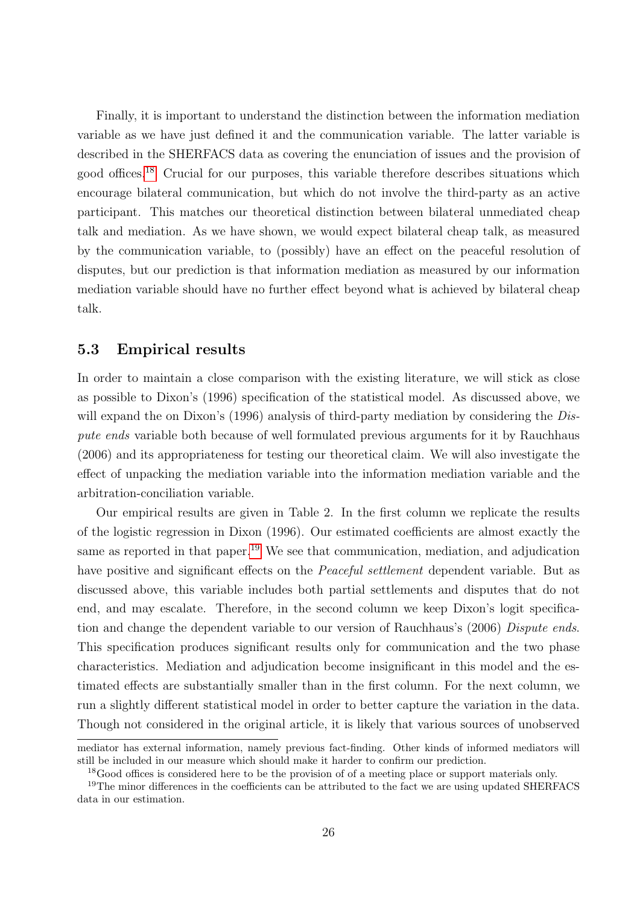Finally, it is important to understand the distinction between the information mediation variable as we have just defined it and the communication variable. The latter variable is described in the SHERFACS data as covering the enunciation of issues and the provision of good offices.[18](#page-0-0) Crucial for our purposes, this variable therefore describes situations which encourage bilateral communication, but which do not involve the third-party as an active participant. This matches our theoretical distinction between bilateral unmediated cheap talk and mediation. As we have shown, we would expect bilateral cheap talk, as measured by the communication variable, to (possibly) have an effect on the peaceful resolution of disputes, but our prediction is that information mediation as measured by our information mediation variable should have no further effect beyond what is achieved by bilateral cheap talk.

#### 5.3 Empirical results

In order to maintain a close comparison with the existing literature, we will stick as close as possible to Dixon's (1996) specification of the statistical model. As discussed above, we will expand the on Dixon's (1996) analysis of third-party mediation by considering the Dispute ends variable both because of well formulated previous arguments for it by Rauchhaus (2006) and its appropriateness for testing our theoretical claim. We will also investigate the effect of unpacking the mediation variable into the information mediation variable and the arbitration-conciliation variable.

Our empirical results are given in Table 2. In the first column we replicate the results of the logistic regression in Dixon (1996). Our estimated coefficients are almost exactly the same as reported in that paper.<sup>[19](#page-0-0)</sup> We see that communication, mediation, and adjudication have positive and significant effects on the *Peaceful settlement* dependent variable. But as discussed above, this variable includes both partial settlements and disputes that do not end, and may escalate. Therefore, in the second column we keep Dixon's logit specification and change the dependent variable to our version of Rauchhaus's (2006) Dispute ends. This specification produces significant results only for communication and the two phase characteristics. Mediation and adjudication become insignificant in this model and the estimated effects are substantially smaller than in the first column. For the next column, we run a slightly different statistical model in order to better capture the variation in the data. Though not considered in the original article, it is likely that various sources of unobserved

mediator has external information, namely previous fact-finding. Other kinds of informed mediators will still be included in our measure which should make it harder to confirm our prediction.

<sup>&</sup>lt;sup>18</sup>Good offices is considered here to be the provision of of a meeting place or support materials only.

<sup>&</sup>lt;sup>19</sup>The minor differences in the coefficients can be attributed to the fact we are using updated SHERFACS data in our estimation.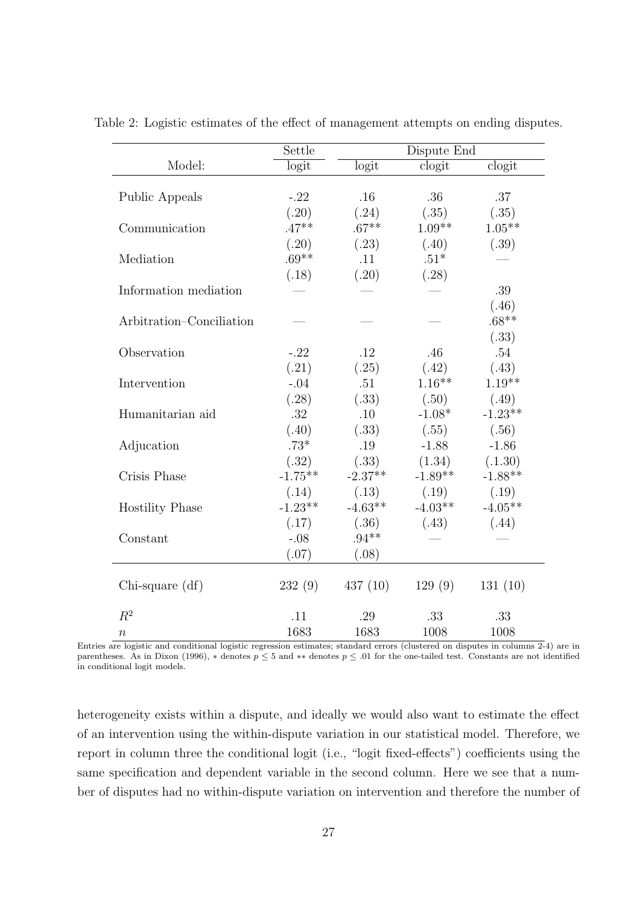|                          | Settle    | Dispute End |           |                            |  |
|--------------------------|-----------|-------------|-----------|----------------------------|--|
| Model:                   | logit     | logit       | clogit    | $\overline{\text{clogit}}$ |  |
|                          |           |             |           |                            |  |
| Public Appeals           | $-.22$    | .16         | .36       | .37                        |  |
|                          | (.20)     | (.24)       | (.35)     | (.35)                      |  |
| Communication            | $.47**$   | $.67**$     | $1.09**$  | $1.05**$                   |  |
|                          | (.20)     | (.23)       | (.40)     | (.39)                      |  |
| Mediation                | $.69**$   | .11         | $.51*$    |                            |  |
|                          | (.18)     | (.20)       | (.28)     |                            |  |
| Information mediation    |           |             |           | .39                        |  |
|                          |           |             |           | (.46)                      |  |
| Arbitration–Conciliation |           |             |           | $.68**$                    |  |
|                          |           |             |           | (.33)                      |  |
| Observation              | $-.22$    | .12         | .46       | .54                        |  |
|                          | (.21)     | (.25)       | (.42)     | (.43)                      |  |
| Intervention             | $-.04$    | .51         | $1.16**$  | $1.19**$                   |  |
|                          | (.28)     | (.33)       | (.50)     | (.49)                      |  |
| Humanitarian aid         | .32       | .10         | $-1.08*$  | $-1.23**$                  |  |
|                          | (.40)     | (.33)       | (.55)     | (.56)                      |  |
| Adjucation               | $.73*$    | .19         | $-1.88$   | $-1.86$                    |  |
|                          | (.32)     | (.33)       | (1.34)    | (.1.30)                    |  |
| Crisis Phase             | $-1.75**$ | $-2.37**$   | $-1.89**$ | $-1.88**$                  |  |
|                          | (.14)     | (.13)       | (.19)     | (.19)                      |  |
| <b>Hostility Phase</b>   | $-1.23**$ | $-4.63**$   | $-4.03**$ | $-4.05**$                  |  |
|                          | (.17)     | (.36)       | (.43)     | (.44)                      |  |
| Constant                 | $-.08$    | $.94**$     |           |                            |  |
|                          | (.07)     | (.08)       |           |                            |  |
| $Chi$ -square $(df)$     | 232(9)    | 437(10)     | 129(9)    | 131(10)                    |  |
| $R^2$                    | .11       | .29         | .33       | .33                        |  |
| $\, n$                   | 1683      | 1683        | 1008      | 1008                       |  |

Table 2: Logistic estimates of the effect of management attempts on ending disputes.

Entries are logistic and conditional logistic regression estimates; standard errors (clustered on disputes in columns 2-4) are in parentheses. As in Dixon (1996),  $*$  denotes  $p \leq 5$  and  $**$  denotes  $p \leq .01$  for the one-tailed test. Constants are not identified in conditional logit models.

heterogeneity exists within a dispute, and ideally we would also want to estimate the effect of an intervention using the within-dispute variation in our statistical model. Therefore, we report in column three the conditional logit (i.e., "logit fixed-effects") coefficients using the same specification and dependent variable in the second column. Here we see that a number of disputes had no within-dispute variation on intervention and therefore the number of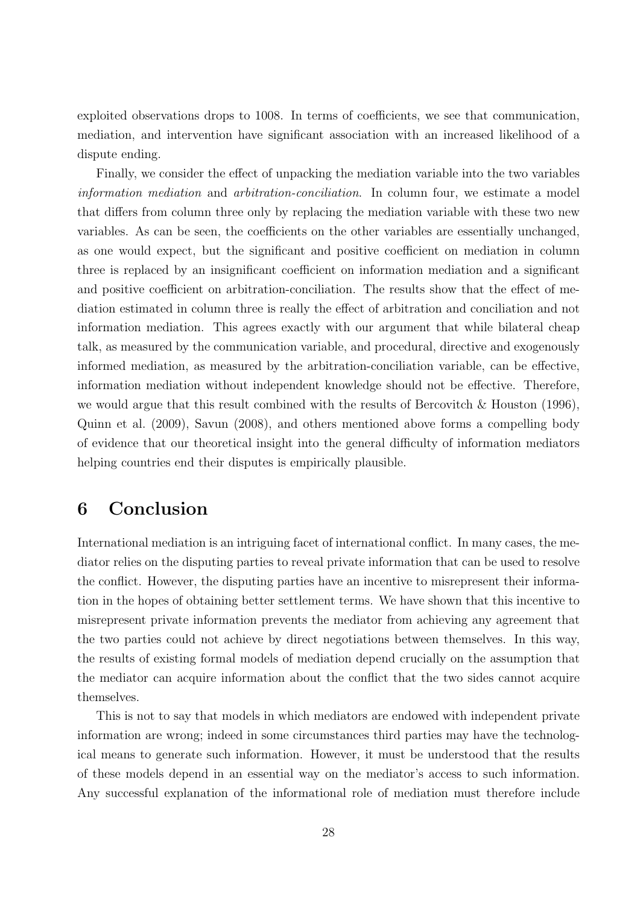exploited observations drops to 1008. In terms of coefficients, we see that communication, mediation, and intervention have significant association with an increased likelihood of a dispute ending.

Finally, we consider the effect of unpacking the mediation variable into the two variables information mediation and arbitration-conciliation. In column four, we estimate a model that differs from column three only by replacing the mediation variable with these two new variables. As can be seen, the coefficients on the other variables are essentially unchanged, as one would expect, but the significant and positive coefficient on mediation in column three is replaced by an insignificant coefficient on information mediation and a significant and positive coefficient on arbitration-conciliation. The results show that the effect of mediation estimated in column three is really the effect of arbitration and conciliation and not information mediation. This agrees exactly with our argument that while bilateral cheap talk, as measured by the communication variable, and procedural, directive and exogenously informed mediation, as measured by the arbitration-conciliation variable, can be effective, information mediation without independent knowledge should not be effective. Therefore, we would argue that this result combined with the results of Bercovitch  $\&$  Houston (1996), Quinn et al. (2009), Savun (2008), and others mentioned above forms a compelling body of evidence that our theoretical insight into the general difficulty of information mediators helping countries end their disputes is empirically plausible.

## 6 Conclusion

International mediation is an intriguing facet of international conflict. In many cases, the mediator relies on the disputing parties to reveal private information that can be used to resolve the conflict. However, the disputing parties have an incentive to misrepresent their information in the hopes of obtaining better settlement terms. We have shown that this incentive to misrepresent private information prevents the mediator from achieving any agreement that the two parties could not achieve by direct negotiations between themselves. In this way, the results of existing formal models of mediation depend crucially on the assumption that the mediator can acquire information about the conflict that the two sides cannot acquire themselves.

This is not to say that models in which mediators are endowed with independent private information are wrong; indeed in some circumstances third parties may have the technological means to generate such information. However, it must be understood that the results of these models depend in an essential way on the mediator's access to such information. Any successful explanation of the informational role of mediation must therefore include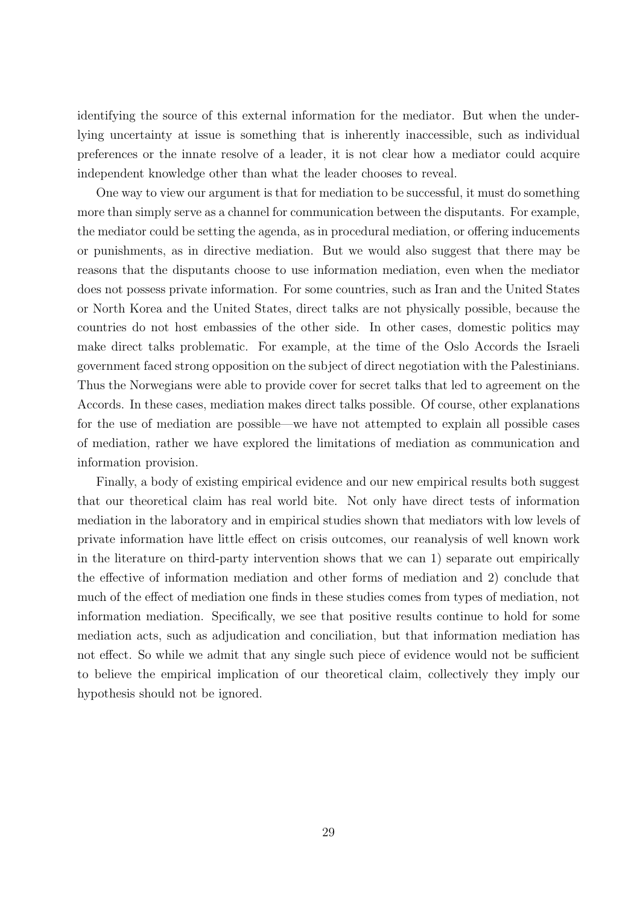identifying the source of this external information for the mediator. But when the underlying uncertainty at issue is something that is inherently inaccessible, such as individual preferences or the innate resolve of a leader, it is not clear how a mediator could acquire independent knowledge other than what the leader chooses to reveal.

One way to view our argument is that for mediation to be successful, it must do something more than simply serve as a channel for communication between the disputants. For example, the mediator could be setting the agenda, as in procedural mediation, or offering inducements or punishments, as in directive mediation. But we would also suggest that there may be reasons that the disputants choose to use information mediation, even when the mediator does not possess private information. For some countries, such as Iran and the United States or North Korea and the United States, direct talks are not physically possible, because the countries do not host embassies of the other side. In other cases, domestic politics may make direct talks problematic. For example, at the time of the Oslo Accords the Israeli government faced strong opposition on the subject of direct negotiation with the Palestinians. Thus the Norwegians were able to provide cover for secret talks that led to agreement on the Accords. In these cases, mediation makes direct talks possible. Of course, other explanations for the use of mediation are possible—we have not attempted to explain all possible cases of mediation, rather we have explored the limitations of mediation as communication and information provision.

Finally, a body of existing empirical evidence and our new empirical results both suggest that our theoretical claim has real world bite. Not only have direct tests of information mediation in the laboratory and in empirical studies shown that mediators with low levels of private information have little effect on crisis outcomes, our reanalysis of well known work in the literature on third-party intervention shows that we can 1) separate out empirically the effective of information mediation and other forms of mediation and 2) conclude that much of the effect of mediation one finds in these studies comes from types of mediation, not information mediation. Specifically, we see that positive results continue to hold for some mediation acts, such as adjudication and conciliation, but that information mediation has not effect. So while we admit that any single such piece of evidence would not be sufficient to believe the empirical implication of our theoretical claim, collectively they imply our hypothesis should not be ignored.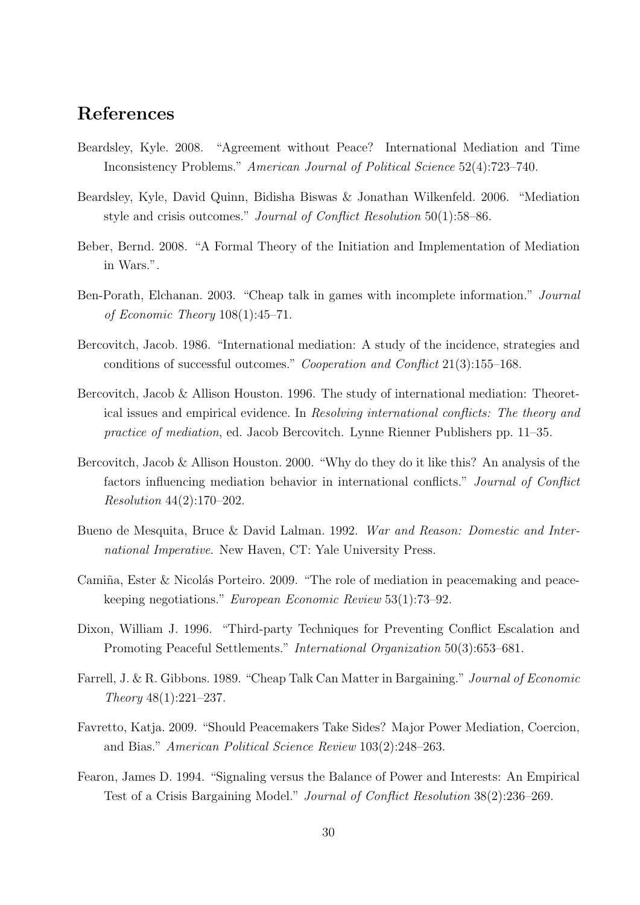## References

- Beardsley, Kyle. 2008. "Agreement without Peace? International Mediation and Time Inconsistency Problems." American Journal of Political Science 52(4):723–740.
- Beardsley, Kyle, David Quinn, Bidisha Biswas & Jonathan Wilkenfeld. 2006. "Mediation style and crisis outcomes." Journal of Conflict Resolution 50(1):58–86.
- Beber, Bernd. 2008. "A Formal Theory of the Initiation and Implementation of Mediation in Wars.".
- Ben-Porath, Elchanan. 2003. "Cheap talk in games with incomplete information." Journal of Economic Theory 108(1):45–71.
- Bercovitch, Jacob. 1986. "International mediation: A study of the incidence, strategies and conditions of successful outcomes." Cooperation and Conflict 21(3):155–168.
- Bercovitch, Jacob & Allison Houston. 1996. The study of international mediation: Theoretical issues and empirical evidence. In Resolving international conflicts: The theory and practice of mediation, ed. Jacob Bercovitch. Lynne Rienner Publishers pp. 11–35.
- Bercovitch, Jacob & Allison Houston. 2000. "Why do they do it like this? An analysis of the factors influencing mediation behavior in international conflicts." Journal of Conflict Resolution 44(2):170–202.
- Bueno de Mesquita, Bruce & David Lalman. 1992. War and Reason: Domestic and International Imperative. New Haven, CT: Yale University Press.
- Camiña, Ester & Nicolás Porteiro. 2009. "The role of mediation in peacemaking and peacekeeping negotiations." European Economic Review 53(1):73–92.
- Dixon, William J. 1996. "Third-party Techniques for Preventing Conflict Escalation and Promoting Peaceful Settlements." International Organization 50(3):653–681.
- Farrell, J. & R. Gibbons. 1989. "Cheap Talk Can Matter in Bargaining." Journal of Economic Theory 48(1):221–237.
- Favretto, Katja. 2009. "Should Peacemakers Take Sides? Major Power Mediation, Coercion, and Bias." American Political Science Review 103(2):248–263.
- Fearon, James D. 1994. "Signaling versus the Balance of Power and Interests: An Empirical Test of a Crisis Bargaining Model." Journal of Conflict Resolution 38(2):236–269.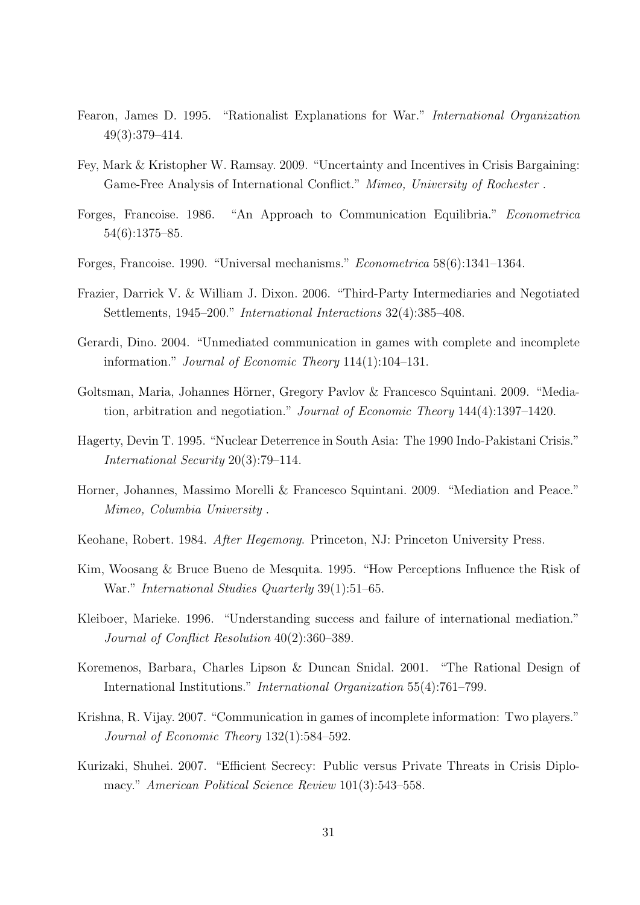- Fearon, James D. 1995. "Rationalist Explanations for War." International Organization 49(3):379–414.
- Fey, Mark & Kristopher W. Ramsay. 2009. "Uncertainty and Incentives in Crisis Bargaining: Game-Free Analysis of International Conflict." Mimeo, University of Rochester .
- Forges, Francoise. 1986. "An Approach to Communication Equilibria." Econometrica 54(6):1375–85.
- Forges, Francoise. 1990. "Universal mechanisms." Econometrica 58(6):1341–1364.
- Frazier, Darrick V. & William J. Dixon. 2006. "Third-Party Intermediaries and Negotiated Settlements, 1945–200." International Interactions 32(4):385–408.
- Gerardi, Dino. 2004. "Unmediated communication in games with complete and incomplete information." Journal of Economic Theory 114(1):104–131.
- Goltsman, Maria, Johannes Hörner, Gregory Pavlov & Francesco Squintani. 2009. "Mediation, arbitration and negotiation." Journal of Economic Theory 144(4):1397–1420.
- Hagerty, Devin T. 1995. "Nuclear Deterrence in South Asia: The 1990 Indo-Pakistani Crisis." International Security 20(3):79–114.
- Horner, Johannes, Massimo Morelli & Francesco Squintani. 2009. "Mediation and Peace." Mimeo, Columbia University .
- Keohane, Robert. 1984. After Hegemony. Princeton, NJ: Princeton University Press.
- Kim, Woosang & Bruce Bueno de Mesquita. 1995. "How Perceptions Influence the Risk of War." International Studies Quarterly 39(1):51–65.
- Kleiboer, Marieke. 1996. "Understanding success and failure of international mediation." Journal of Conflict Resolution 40(2):360–389.
- Koremenos, Barbara, Charles Lipson & Duncan Snidal. 2001. "The Rational Design of International Institutions." International Organization 55(4):761–799.
- Krishna, R. Vijay. 2007. "Communication in games of incomplete information: Two players." Journal of Economic Theory 132(1):584–592.
- Kurizaki, Shuhei. 2007. "Efficient Secrecy: Public versus Private Threats in Crisis Diplomacy." American Political Science Review 101(3):543-558.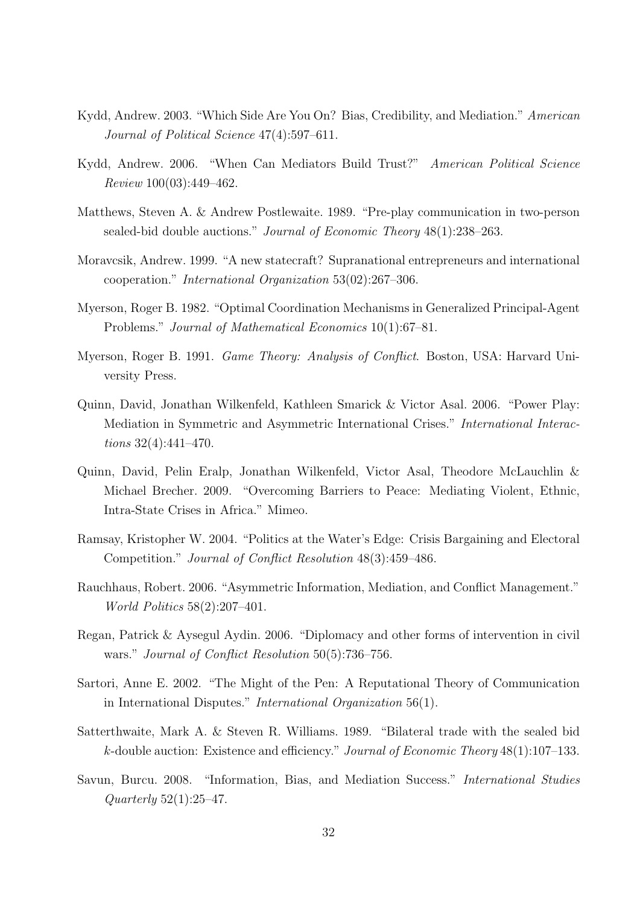- Kydd, Andrew. 2003. "Which Side Are You On? Bias, Credibility, and Mediation." American Journal of Political Science 47(4):597–611.
- Kydd, Andrew. 2006. "When Can Mediators Build Trust?" American Political Science Review 100(03):449–462.
- Matthews, Steven A. & Andrew Postlewaite. 1989. "Pre-play communication in two-person sealed-bid double auctions." Journal of Economic Theory 48(1):238–263.
- Moravcsik, Andrew. 1999. "A new statecraft? Supranational entrepreneurs and international cooperation." International Organization 53(02):267–306.
- Myerson, Roger B. 1982. "Optimal Coordination Mechanisms in Generalized Principal-Agent Problems." Journal of Mathematical Economics 10(1):67–81.
- Myerson, Roger B. 1991. Game Theory: Analysis of Conflict. Boston, USA: Harvard University Press.
- Quinn, David, Jonathan Wilkenfeld, Kathleen Smarick & Victor Asal. 2006. "Power Play: Mediation in Symmetric and Asymmetric International Crises." International Interactions 32(4):441–470.
- Quinn, David, Pelin Eralp, Jonathan Wilkenfeld, Victor Asal, Theodore McLauchlin & Michael Brecher. 2009. "Overcoming Barriers to Peace: Mediating Violent, Ethnic, Intra-State Crises in Africa." Mimeo.
- Ramsay, Kristopher W. 2004. "Politics at the Water's Edge: Crisis Bargaining and Electoral Competition." Journal of Conflict Resolution 48(3):459–486.
- Rauchhaus, Robert. 2006. "Asymmetric Information, Mediation, and Conflict Management." World Politics 58(2):207–401.
- Regan, Patrick & Aysegul Aydin. 2006. "Diplomacy and other forms of intervention in civil wars." Journal of Conflict Resolution 50(5):736–756.
- Sartori, Anne E. 2002. "The Might of the Pen: A Reputational Theory of Communication in International Disputes." International Organization 56(1).
- Satterthwaite, Mark A. & Steven R. Williams. 1989. "Bilateral trade with the sealed bid k-double auction: Existence and efficiency." Journal of Economic Theory  $48(1)$ :107-133.
- Savun, Burcu. 2008. "Information, Bias, and Mediation Success." International Studies  $Quarterly 52(1):25-47.$